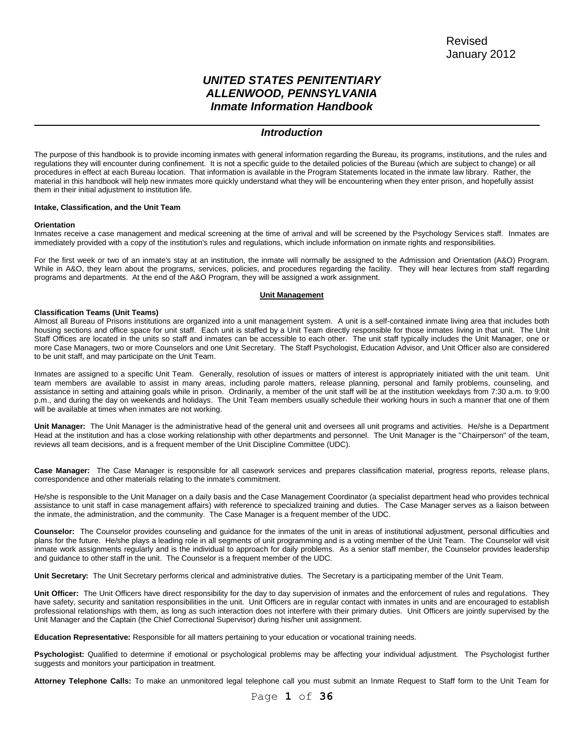# *UNITED STATES PENITENTIARY ALLENWOOD, PENNSYLVANIA Inmate Information Handbook*

# *Introduction*

The purpose of this handbook is to provide incoming inmates with general information regarding the Bureau, its programs, institutions, and the rules and regulations they will encounter during confinement. It is not a specific guide to the detailed policies of the Bureau (which are subject to change) or all procedures in effect at each Bureau location. That information is available in the Program Statements located in the inmate law library. Rather, the material in this handbook will help new inmates more quickly understand what they will be encountering when they enter prison, and hopefully assist them in their initial adjustment to institution life.

#### **Intake, Classification, and the Unit Team**

#### **Orientation**

 $\overline{a}$ 

Inmates receive a case management and medical screening at the time of arrival and will be screened by the Psychology Services staff. Inmates are immediately provided with a copy of the institution's rules and regulations, which include information on inmate rights and responsibilities.

For the first week or two of an inmate's stay at an institution, the inmate will normally be assigned to the Admission and Orientation (A&O) Program. While in A&O, they learn about the programs, services, policies, and procedures regarding the facility. They will hear lectures from staff regarding programs and departments. At the end of the A&O Program, they will be assigned a work assignment.

## **Unit Management**

#### **Classification Teams (Unit Teams)**

Almost all Bureau of Prisons institutions are organized into a unit management system. A unit is a self-contained inmate living area that includes both housing sections and office space for unit staff. Each unit is staffed by a Unit Team directly responsible for those inmates living in that unit. The Unit Staff Offices are located in the units so staff and inmates can be accessible to each other. The unit staff typically includes the Unit Manager, one or more Case Managers, two or more Counselors and one Unit Secretary. The Staff Psychologist, Education Advisor, and Unit Officer also are considered to be unit staff, and may participate on the Unit Team.

Inmates are assigned to a specific Unit Team. Generally, resolution of issues or matters of interest is appropriately initiated with the unit team. Unit team members are available to assist in many areas, including parole matters, release planning, personal and family problems, counseling, and assistance in setting and attaining goals while in prison. Ordinarily, a member of the unit staff will be at the institution weekdays from 7:30 a.m. to 9:00 p.m., and during the day on weekends and holidays. The Unit Team members usually schedule their working hours in such a manner that one of them will be available at times when inmates are not working.

Unit Manager: The Unit Manager is the administrative head of the general unit and oversees all unit programs and activities. He/she is a Department Head at the institution and has a close working relationship with other departments and personnel. The Unit Manager is the "Chairperson" of the team, reviews all team decisions, and is a frequent member of the Unit Discipline Committee (UDC).

**Case Manager:** The Case Manager is responsible for all casework services and prepares classification material, progress reports, release plans, correspondence and other materials relating to the inmate's commitment.

He/she is responsible to the Unit Manager on a daily basis and the Case Management Coordinator (a specialist department head who provides technical assistance to unit staff in case management affairs) with reference to specialized training and duties. The Case Manager serves as a liaison between the inmate, the administration, and the community. The Case Manager is a frequent member of the UDC.

**Counselor:** The Counselor provides counseling and guidance for the inmates of the unit in areas of institutional adjustment, personal difficulties and plans for the future. He/she plays a leading role in all segments of unit programming and is a voting member of the Unit Team. The Counselor will visit inmate work assignments regularly and is the individual to approach for daily problems. As a senior staff member, the Counselor provides leadership and guidance to other staff in the unit. The Counselor is a frequent member of the UDC.

**Unit Secretary:** The Unit Secretary performs clerical and administrative duties. The Secretary is a participating member of the Unit Team.

**Unit Officer:** The Unit Officers have direct responsibility for the day to day supervision of inmates and the enforcement of rules and regulations. They have safety, security and sanitation responsibilities in the unit. Unit Officers are in regular contact with inmates in units and are encouraged to establish professional relationships with them, as long as such interaction does not interfere with their primary duties. Unit Officers are jointly supervised by the Unit Manager and the Captain (the Chief Correctional Supervisor) during his/her unit assignment.

**Education Representative:** Responsible for all matters pertaining to your education or vocational training needs.

**Psychologist:** Qualified to determine if emotional or psychological problems may be affecting your individual adjustment. The Psychologist further suggests and monitors your participation in treatment.

**Attorney Telephone Calls:** To make an unmonitored legal telephone call you must submit an Inmate Request to Staff form to the Unit Team for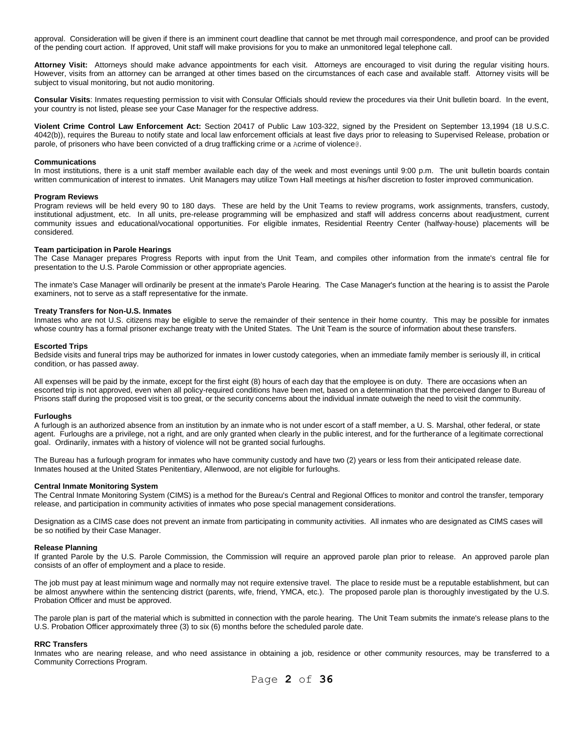approval. Consideration will be given if there is an imminent court deadline that cannot be met through mail correspondence, and proof can be provided of the pending court action. If approved, Unit staff will make provisions for you to make an unmonitored legal telephone call.

**Attorney Visit:** Attorneys should make advance appointments for each visit. Attorneys are encouraged to visit during the regular visiting hours. However, visits from an attorney can be arranged at other times based on the circumstances of each case and available staff. Attorney visits will be subject to visual monitoring, but not audio monitoring.

**Consular Visits**: Inmates requesting permission to visit with Consular Officials should review the procedures via their Unit bulletin board. In the event, your country is not listed, please see your Case Manager for the respective address.

**Violent Crime Control Law Enforcement Act:** Section 20417 of Public Law 103-322, signed by the President on September 13,1994 (18 U.S.C. 4042(b)), requires the Bureau to notify state and local law enforcement officials at least five days prior to releasing to Supervised Release, probation or parole, of prisoners who have been convicted of a drug trafficking crime or a Acrime of violence@.

#### **Communications**

In most institutions, there is a unit staff member available each day of the week and most evenings until 9:00 p.m. The unit bulletin boards contain written communication of interest to inmates. Unit Managers may utilize Town Hall meetings at his/her discretion to foster improved communication.

#### **Program Reviews**

Program reviews will be held every 90 to 180 days. These are held by the Unit Teams to review programs, work assignments, transfers, custody, institutional adjustment, etc. In all units, pre-release programming will be emphasized and staff will address concerns about readjustment, current community issues and educational/vocational opportunities. For eligible inmates, Residential Reentry Center (halfway-house) placements will be considered.

#### **Team participation in Parole Hearings**

The Case Manager prepares Progress Reports with input from the Unit Team, and compiles other information from the inmate's central file for presentation to the U.S. Parole Commission or other appropriate agencies.

The inmate's Case Manager will ordinarily be present at the inmate's Parole Hearing. The Case Manager's function at the hearing is to assist the Parole examiners, not to serve as a staff representative for the inmate.

#### **Treaty Transfers for Non-U.S. Inmates**

Inmates who are not U.S. citizens may be eligible to serve the remainder of their sentence in their home country. This may be possible for inmates whose country has a formal prisoner exchange treaty with the United States. The Unit Team is the source of information about these transfers.

#### **Escorted Trips**

Bedside visits and funeral trips may be authorized for inmates in lower custody categories, when an immediate family member is seriously ill, in critical condition, or has passed away.

All expenses will be paid by the inmate, except for the first eight (8) hours of each day that the employee is on duty. There are occasions when an escorted trip is not approved, even when all policy-required conditions have been met, based on a determination that the perceived danger to Bureau of Prisons staff during the proposed visit is too great, or the security concerns about the individual inmate outweigh the need to visit the community.

#### **Furloughs**

A furlough is an authorized absence from an institution by an inmate who is not under escort of a staff member, a U. S. Marshal, other federal, or state agent. Furloughs are a privilege, not a right, and are only granted when clearly in the public interest, and for the furtherance of a legitimate correctional goal. Ordinarily, inmates with a history of violence will not be granted social furloughs.

The Bureau has a furlough program for inmates who have community custody and have two (2) years or less from their anticipated release date. Inmates housed at the United States Penitentiary, Allenwood, are not eligible for furloughs.

#### **Central Inmate Monitoring System**

The Central Inmate Monitoring System (CIMS) is a method for the Bureau's Central and Regional Offices to monitor and control the transfer, temporary release, and participation in community activities of inmates who pose special management considerations.

Designation as a CIMS case does not prevent an inmate from participating in community activities. All inmates who are designated as CIMS cases will be so notified by their Case Manager.

#### **Release Planning**

If granted Parole by the U.S. Parole Commission, the Commission will require an approved parole plan prior to release. An approved parole plan consists of an offer of employment and a place to reside.

The job must pay at least minimum wage and normally may not require extensive travel. The place to reside must be a reputable establishment, but can be almost anywhere within the sentencing district (parents, wife, friend, YMCA, etc.). The proposed parole plan is thoroughly investigated by the U.S. Probation Officer and must be approved.

The parole plan is part of the material which is submitted in connection with the parole hearing. The Unit Team submits the inmate's release plans to the U.S. Probation Officer approximately three (3) to six (6) months before the scheduled parole date.

#### **RRC Transfers**

Inmates who are nearing release, and who need assistance in obtaining a job, residence or other community resources, may be transferred to a Community Corrections Program.

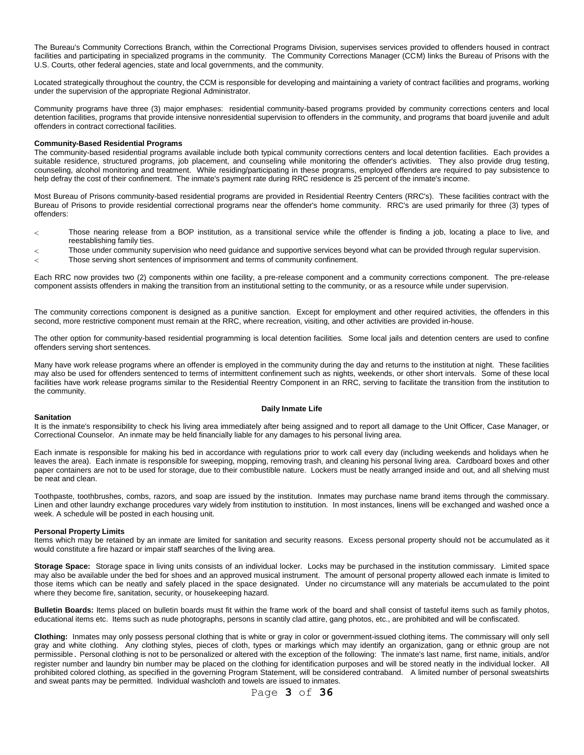The Bureau's Community Corrections Branch, within the Correctional Programs Division, supervises services provided to offenders housed in contract facilities and participating in specialized programs in the community. The Community Corrections Manager (CCM) links the Bureau of Prisons with the U.S. Courts, other federal agencies, state and local governments, and the community.

Located strategically throughout the country, the CCM is responsible for developing and maintaining a variety of contract facilities and programs, working under the supervision of the appropriate Regional Administrator.

Community programs have three (3) major emphases: residential community-based programs provided by community corrections centers and local detention facilities, programs that provide intensive nonresidential supervision to offenders in the community, and programs that board juvenile and adult offenders in contract correctional facilities.

#### **Community-Based Residential Programs**

The community-based residential programs available include both typical community corrections centers and local detention facilities. Each provides a suitable residence, structured programs, job placement, and counseling while monitoring the offender's activities. They also provide drug testing, counseling, alcohol monitoring and treatment. While residing/participating in these programs, employed offenders are required to pay subsistence to help defray the cost of their confinement. The inmate's payment rate during RRC residence is 25 percent of the inmate's income.

Most Bureau of Prisons community-based residential programs are provided in Residential Reentry Centers (RRC's). These facilities contract with the Bureau of Prisons to provide residential correctional programs near the offender's home community. RRC's are used primarily for three (3) types of offenders:

- Those nearing release from a BOP institution, as a transitional service while the offender is finding a job, locating a place to live, and  $\lt$ reestablishing family ties.
- Those under community supervision who need guidance and supportive services beyond what can be provided through regular supervision.  $\overline{<}$
- Those serving short sentences of imprisonment and terms of community confinement.  $\overline{<}$

Each RRC now provides two (2) components within one facility, a pre-release component and a community corrections component. The pre-release component assists offenders in making the transition from an institutional setting to the community, or as a resource while under supervision.

The community corrections component is designed as a punitive sanction. Except for employment and other required activities, the offenders in this second, more restrictive component must remain at the RRC, where recreation, visiting, and other activities are provided in-house.

The other option for community-based residential programming is local detention facilities. Some local jails and detention centers are used to confine offenders serving short sentences.

Many have work release programs where an offender is employed in the community during the day and returns to the institution at night. These facilities may also be used for offenders sentenced to terms of intermittent confinement such as nights, weekends, or other short intervals. Some of these local facilities have work release programs similar to the Residential Reentry Component in an RRC, serving to facilitate the transition from the institution to the community.

#### **Daily Inmate Life**

#### **Sanitation**

It is the inmate's responsibility to check his living area immediately after being assigned and to report all damage to the Unit Officer, Case Manager, or Correctional Counselor. An inmate may be held financially liable for any damages to his personal living area.

Each inmate is responsible for making his bed in accordance with regulations prior to work call every day (including weekends and holidays when he leaves the area). Each inmate is responsible for sweeping, mopping, removing trash, and cleaning his personal living area. Cardboard boxes and other paper containers are not to be used for storage, due to their combustible nature. Lockers must be neatly arranged inside and out, and all shelving must be neat and clean.

Toothpaste, toothbrushes, combs, razors, and soap are issued by the institution. Inmates may purchase name brand items through the commissary. Linen and other laundry exchange procedures vary widely from institution to institution. In most instances, linens will be exchanged and washed once a week. A schedule will be posted in each housing unit.

#### **Personal Property Limits**

Items which may be retained by an inmate are limited for sanitation and security reasons. Excess personal property should not be accumulated as it would constitute a fire hazard or impair staff searches of the living area.

**Storage Space:** Storage space in living units consists of an individual locker. Locks may be purchased in the institution commissary. Limited space may also be available under the bed for shoes and an approved musical instrument. The amount of personal property allowed each inmate is limited to those items which can be neatly and safely placed in the space designated. Under no circumstance will any materials be accumulated to the point where they become fire, sanitation, security, or housekeeping hazard.

**Bulletin Boards:** Items placed on bulletin boards must fit within the frame work of the board and shall consist of tasteful items such as family photos, educational items etc. Items such as nude photographs, persons in scantily clad attire, gang photos, etc., are prohibited and will be confiscated.

**Clothing:** Inmates may only possess personal clothing that is white or gray in color or government-issued clothing items. The commissary will only sell gray and white clothing. Any clothing styles, pieces of cloth, types or markings which may identify an organization, gang or ethnic group are not permissible. Personal clothing is not to be personalized or altered with the exception of the following: The inmate's last name, first name, initials, and/or register number and laundry bin number may be placed on the clothing for identification purposes and will be stored neatly in the individual locker. All prohibited colored clothing, as specified in the governing Program Statement, will be considered contraband. A limited number of personal sweatshirts and sweat pants may be permitted. Individual washcloth and towels are issued to inmates.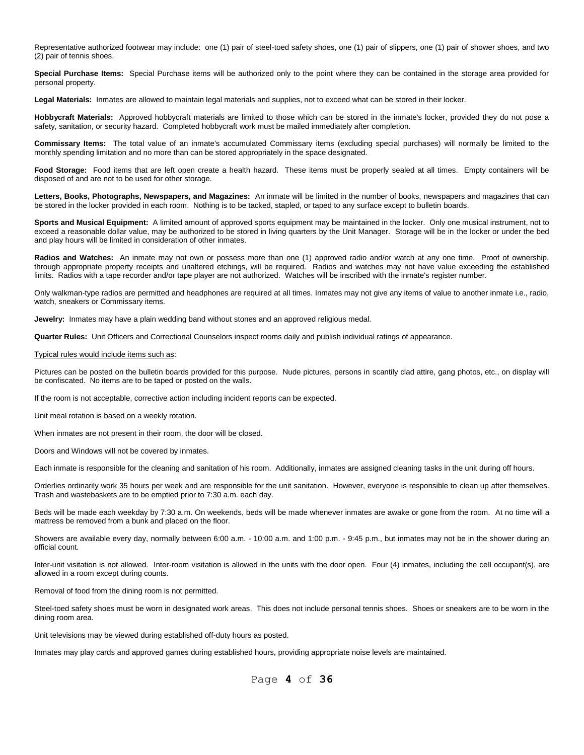Representative authorized footwear may include: one (1) pair of steel-toed safety shoes, one (1) pair of slippers, one (1) pair of shower shoes, and two (2) pair of tennis shoes.

**Special Purchase Items:** Special Purchase items will be authorized only to the point where they can be contained in the storage area provided for personal property.

**Legal Materials:** Inmates are allowed to maintain legal materials and supplies, not to exceed what can be stored in their locker.

**Hobbycraft Materials:** Approved hobbycraft materials are limited to those which can be stored in the inmate's locker, provided they do not pose a safety, sanitation, or security hazard. Completed hobbycraft work must be mailed immediately after completion.

**Commissary Items:** The total value of an inmate's accumulated Commissary items (excluding special purchases) will normally be limited to the monthly spending limitation and no more than can be stored appropriately in the space designated.

**Food Storage:** Food items that are left open create a health hazard. These items must be properly sealed at all times. Empty containers will be disposed of and are not to be used for other storage.

**Letters, Books, Photographs, Newspapers, and Magazines:** An inmate will be limited in the number of books, newspapers and magazines that can be stored in the locker provided in each room. Nothing is to be tacked, stapled, or taped to any surface except to bulletin boards.

**Sports and Musical Equipment:** A limited amount of approved sports equipment may be maintained in the locker. Only one musical instrument, not to exceed a reasonable dollar value, may be authorized to be stored in living quarters by the Unit Manager. Storage will be in the locker or under the bed and play hours will be limited in consideration of other inmates.

Radios and Watches: An inmate may not own or possess more than one (1) approved radio and/or watch at any one time. Proof of ownership, through appropriate property receipts and unaltered etchings, will be required. Radios and watches may not have value exceeding the established limits. Radios with a tape recorder and/or tape player are not authorized. Watches will be inscribed with the inmate's register number.

Only walkman-type radios are permitted and headphones are required at all times. Inmates may not give any items of value to another inmate i.e., radio, watch, sneakers or Commissary items.

**Jewelry:** Inmates may have a plain wedding band without stones and an approved religious medal.

**Quarter Rules:** Unit Officers and Correctional Counselors inspect rooms daily and publish individual ratings of appearance.

#### Typical rules would include items such as:

Pictures can be posted on the bulletin boards provided for this purpose. Nude pictures, persons in scantily clad attire, gang photos, etc., on display will be confiscated. No items are to be taped or posted on the walls.

If the room is not acceptable, corrective action including incident reports can be expected.

Unit meal rotation is based on a weekly rotation.

When inmates are not present in their room, the door will be closed.

Doors and Windows will not be covered by inmates.

Each inmate is responsible for the cleaning and sanitation of his room. Additionally, inmates are assigned cleaning tasks in the unit during off hours.

Orderlies ordinarily work 35 hours per week and are responsible for the unit sanitation. However, everyone is responsible to clean up after themselves. Trash and wastebaskets are to be emptied prior to 7:30 a.m. each day.

Beds will be made each weekday by 7:30 a.m. On weekends, beds will be made whenever inmates are awake or gone from the room. At no time will a mattress be removed from a bunk and placed on the floor.

Showers are available every day, normally between 6:00 a.m. - 10:00 a.m. and 1:00 p.m. - 9:45 p.m., but inmates may not be in the shower during an official count.

Inter-unit visitation is not allowed. Inter-room visitation is allowed in the units with the door open. Four (4) inmates, including the cell occupant(s), are allowed in a room except during counts.

Removal of food from the dining room is not permitted.

Steel-toed safety shoes must be worn in designated work areas. This does not include personal tennis shoes. Shoes or sneakers are to be worn in the dining room area.

Unit televisions may be viewed during established off-duty hours as posted.

Inmates may play cards and approved games during established hours, providing appropriate noise levels are maintained.

Page **4** of **36**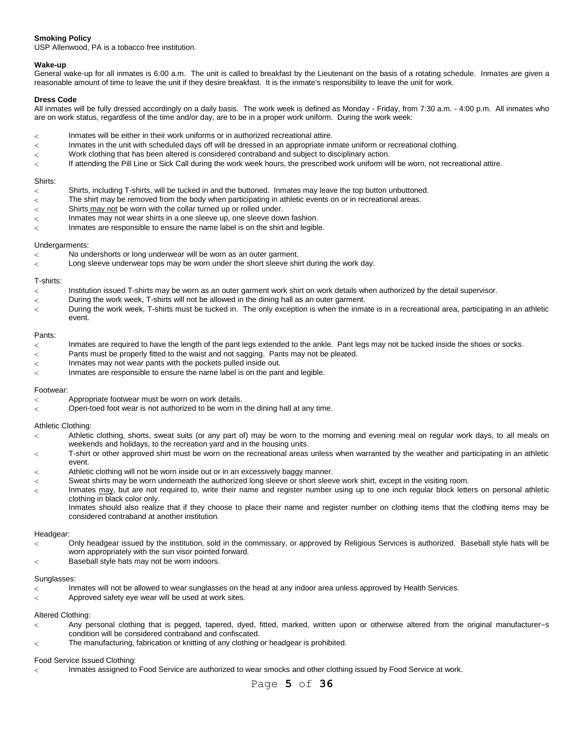# **Smoking Policy**

USP Allenwood, PA is a tobacco free institution.

# **Wake-up**

General wake-up for all inmates is 6:00 a.m. The unit is called to breakfast by the Lieutenant on the basis of a rotating schedule. Inmates are given a reasonable amount of time to leave the unit if they desire breakfast. It is the inmate's responsibility to leave the unit for work.

# **Dress Code**

All inmates will be fully dressed accordingly on a daily basis. The work week is defined as Monday - Friday, from 7:30 a.m. - 4:00 p.m. All inmates who are on work status, regardless of the time and/or day, are to be in a proper work uniform. During the work week:

- Inmates will be either in their work uniforms or in authorized recreational attire.  $\lt$
- $\overline{<}$ Inmates in the unit with scheduled days off will be dressed in an appropriate inmate uniform or recreational clothing.
- Work clothing that has been altered is considered contraband and subject to disciplinary action.  $\overline{<}$
- $\lt$ If attending the Pill Line or Sick Call during the work week hours, the prescribed work uniform will be worn, not recreational attire.

#### Shirts:

- $\,<$ Shirts, including T-shirts, will be tucked in and the buttoned. Inmates may leave the top button unbuttoned.
- The shirt may be removed from the body when participating in athletic events on or in recreational areas.  $\,<$
- Shirts may not be worn with the collar turned up or rolled under.  $\,<$
- Inmates may not wear shirts in a one sleeve up, one sleeve down fashion.  $\overline{<}$
- $\lt$ Inmates are responsible to ensure the name label is on the shirt and legible.

## Undergarments:

- No undershorts or long underwear will be worn as an outer garment.  $\overline{<}$
- $\lt$ Long sleeve underwear tops may be worn under the short sleeve shirt during the work day.

## T-shirts:

- $\,<$ Institution issued T-shirts may be worn as an outer garment work shirt on work details when authorized by the detail supervisor.
- During the work week, T-shirts will not be allowed in the dining hall as an outer garment.  $\,<$
- $\overline{<}$ During the work week, T-shirts must be tucked in. The only exception is when the inmate is in a recreational area, participating in an athletic event.

## Pants:

- $\overline{\left\langle \right\rangle }$ Inmates are required to have the length of the pant legs extended to the ankle. Pant legs may not be tucked inside the shoes or socks.
- $\overline{\left\langle \right\rangle }$ Pants must be properly fitted to the waist and not sagging. Pants may not be pleated.
- Inmates may not wear pants with the pockets pulled inside out.  $\lt$
- Inmates are responsible to ensure the name label is on the pant and legible.  $\overline{\left\langle \right\rangle }$

#### Footwear:

- $\overline{\phantom{0}}$ Appropriate footwear must be worn on work details.
- Open-toed foot wear is not authorized to be worn in the dining hall at any time.  $\epsilon$

#### Athletic Clothing:

- Athletic clothing, shorts, sweat suits (or any part of) may be worn to the morning and evening meal on regular work days, to all meals on  $\,<$ weekends and holidays, to the recreation yard and in the housing units.
- T-shirt or other approved shirt must be worn on the recreational areas unless when warranted by the weather and participating in an athletic  $\lt$ event.
- Athletic clothing will not be worn inside out or in an excessively baggy manner.  $\epsilon$
- Sweat shirts may be worn underneath the authorized long sleeve or short sleeve work shirt, except in the visiting room.  $\overline{a}$
- Inmates may, but are not required to, write their name and register number using up to one inch regular block letters on personal athletic  $\overline{<}$ clothing in black color only.

Inmates should also realize that if they choose to place their name and register number on clothing items that the clothing items may be considered contraband at another institution.

#### Headgear:

- Only headgear issued by the institution, sold in the commissary, or approved by Religious Services is authorized. Baseball style hats will be  $\overline{<}$ worn appropriately with the sun visor pointed forward.
- Baseball style hats may not be worn indoors.  $\,<$

#### Sunglasses:

- Inmates will not be allowed to wear sunglasses on the head at any indoor area unless approved by Health Services.  $\lt$
- Approved safety eye wear will be used at work sites. 7

# Altered Clothing:

- Any personal clothing that is pegged, tapered, dyed, fitted, marked, written upon or otherwise altered from the original manufacturer=s  $\,<$ condition will be considered contraband and confiscated.
- The manufacturing, fabrication or knitting of any clothing or headgear is prohibited.  $\overline{<}$

# Food Service Issued Clothing:

Inmates assigned to Food Service are authorized to wear smocks and other clothing issued by Food Service at work.  $\epsilon$ 

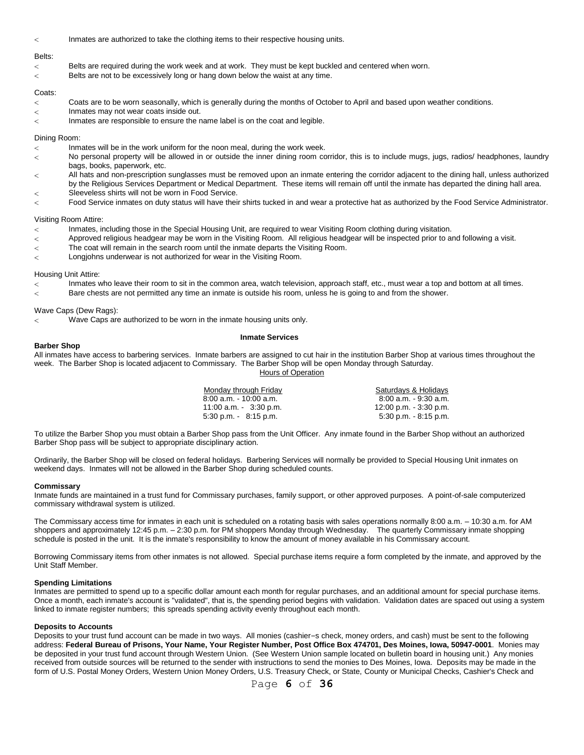$\overline{<}$ Inmates are authorized to take the clothing items to their respective housing units.

# Belts:

- Belts are required during the work week and at work. They must be kept buckled and centered when worn.  $\,<\,$
- Belts are not to be excessively long or hang down below the waist at any time.  $\overline{<}$

#### Coats:

- $\overline{<}$ Coats are to be worn seasonally, which is generally during the months of October to April and based upon weather conditions.
- Inmates may not wear coats inside out.  $\,<$
- $\overline{<}$ Inmates are responsible to ensure the name label is on the coat and legible.

#### Dining Room:

- Inmates will be in the work uniform for the noon meal, during the work week.  $\lt$
- No personal property will be allowed in or outside the inner dining room corridor, this is to include mugs, jugs, radios/ headphones, laundry  $\,<\,$ bags, books, paperwork, etc.
- All hats and non-prescription sunglasses must be removed upon an inmate entering the corridor adjacent to the dining hall, unless authorized  $\epsilon$ by the Religious Services Department or Medical Department. These items will remain off until the inmate has departed the dining hall area.
- Sleeveless shirts will not be worn in Food Service.  $\overline{\phantom{0}}$
- Food Service inmates on duty status will have their shirts tucked in and wear a protective hat as authorized by the Food Service Administrator.  $\overline{<}$

#### Visiting Room Attire:

- Inmates, including those in the Special Housing Unit, are required to wear Visiting Room clothing during visitation.  $\overline{<}$
- $\overline{<}$ Approved religious headgear may be worn in the Visiting Room. All religious headgear will be inspected prior to and following a visit.
- The coat will remain in the search room until the inmate departs the Visiting Room.  $\overline{<}$
- Longjohns underwear is not authorized for wear in the Visiting Room.  $\overline{<}$

#### Housing Unit Attire:

- $\overline{\phantom{0}}$ Inmates who leave their room to sit in the common area, watch television, approach staff, etc., must wear a top and bottom at all times.
- Bare chests are not permitted any time an inmate is outside his room, unless he is going to and from the shower.  $\epsilon$

# Wave Caps (Dew Rags):

Wave Caps are authorized to be worn in the inmate housing units only. <

#### **Inmate Services**

# **Barber Shop**

All inmates have access to barbering services. Inmate barbers are assigned to cut hair in the institution Barber Shop at various times throughout the week. The Barber Shop is located adjacent to Commissary. The Barber Shop will be open Monday through Saturday.

**Hours of Operation** 

| Monday through Friday     | Saturdays & Holidays      |
|---------------------------|---------------------------|
| $8:00$ a.m. $-10:00$ a.m. | 8:00 a.m. - 9:30 a.m.     |
| 11:00 a.m. $3:30$ p.m.    | $12:00$ p.m. $-3:30$ p.m. |
| $5.30$ p.m. $8.15$ p.m.   | $5:30$ p.m. $-8:15$ p.m.  |

To utilize the Barber Shop you must obtain a Barber Shop pass from the Unit Officer. Any inmate found in the Barber Shop without an authorized Barber Shop pass will be subject to appropriate disciplinary action.

Ordinarily, the Barber Shop will be closed on federal holidays. Barbering Services will normally be provided to Special Housing Unit inmates on weekend days. Inmates will not be allowed in the Barber Shop during scheduled counts.

#### **Commissary**

Inmate funds are maintained in a trust fund for Commissary purchases, family support, or other approved purposes. A point-of-sale computerized commissary withdrawal system is utilized.

The Commissary access time for inmates in each unit is scheduled on a rotating basis with sales operations normally 8:00 a.m. – 10:30 a.m. for AM shoppers and approximately 12:45 p.m. – 2:30 p.m. for PM shoppers Monday through Wednesday. The quarterly Commissary inmate shopping schedule is posted in the unit. It is the inmate's responsibility to know the amount of money available in his Commissary account.

Borrowing Commissary items from other inmates is not allowed. Special purchase items require a form completed by the inmate, and approved by the Unit Staff Member.

# **Spending Limitations**

Inmates are permitted to spend up to a specific dollar amount each month for regular purchases, and an additional amount for special purchase items. Once a month, each inmate's account is "validated", that is, the spending period begins with validation. Validation dates are spaced out using a system linked to inmate register numbers; this spreads spending activity evenly throughout each month.

#### **Deposits to Accounts**

Deposits to your trust fund account can be made in two ways. All monies (cashier=s check, money orders, and cash) must be sent to the following address: **Federal Bureau of Prisons, Your Name, Your Register Number, Post Office Box 474701, Des Moines, Iowa, 50947-0001**. Monies may be deposited in your trust fund account through Western Union. (See Western Union sample located on bulletin board in housing unit.) Any monies received from outside sources will be returned to the sender with instructions to send the monies to Des Moines, Iowa. Deposits may be made in the form of U.S. Postal Money Orders, Western Union Money Orders, U.S. Treasury Check, or State, County or Municipal Checks, Cashier's Check and

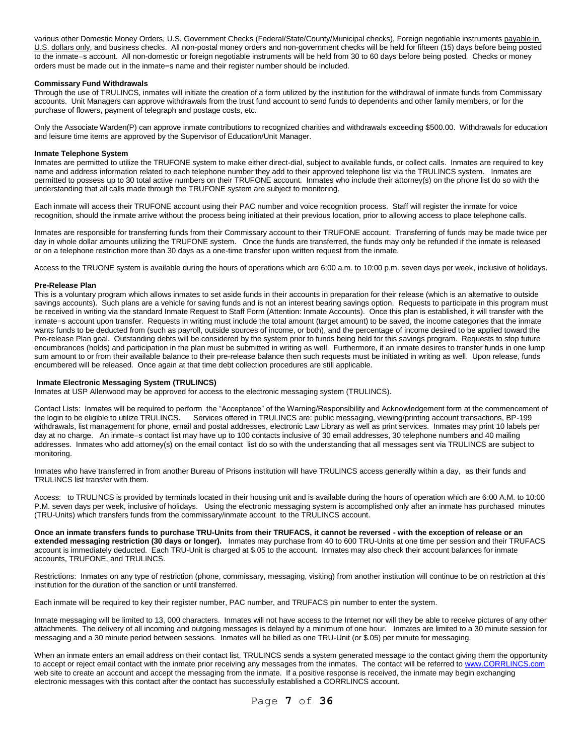various other Domestic Money Orders, U.S. Government Checks (Federal/State/County/Municipal checks), Foreign negotiable instruments payable in U.S. dollars only, and business checks. All non-postal money orders and non-government checks will be held for fifteen (15) days before being posted to the inmate=s account. All non-domestic or foreign negotiable instruments will be held from 30 to 60 days before being posted. Checks or money orders must be made out in the inmate=s name and their register number should be included.

# **Commissary Fund Withdrawals**

Through the use of TRULINCS, inmates will initiate the creation of a form utilized by the institution for the withdrawal of inmate funds from Commissary accounts. Unit Managers can approve withdrawals from the trust fund account to send funds to dependents and other family members, or for the purchase of flowers, payment of telegraph and postage costs, etc.

Only the Associate Warden(P) can approve inmate contributions to recognized charities and withdrawals exceeding \$500.00. Withdrawals for education and leisure time items are approved by the Supervisor of Education/Unit Manager.

#### **Inmate Telephone System**

Inmates are permitted to utilize the TRUFONE system to make either direct-dial, subject to available funds, or collect calls. Inmates are required to key name and address information related to each telephone number they add to their approved telephone list via the TRULINCS system. Inmates are permitted to possess up to 30 total active numbers on their TRUFONE account. Inmates who include their attorney(s) on the phone list do so with the understanding that all calls made through the TRUFONE system are subject to monitoring.

Each inmate will access their TRUFONE account using their PAC number and voice recognition process. Staff will register the inmate for voice recognition, should the inmate arrive without the process being initiated at their previous location, prior to allowing access to place telephone calls.

Inmates are responsible for transferring funds from their Commissary account to their TRUFONE account. Transferring of funds may be made twice per day in whole dollar amounts utilizing the TRUFONE system. Once the funds are transferred, the funds may only be refunded if the inmate is released or on a telephone restriction more than 30 days as a one-time transfer upon written request from the inmate.

Access to the TRUONE system is available during the hours of operations which are 6:00 a.m. to 10:00 p.m. seven days per week, inclusive of holidays.

#### **Pre-Release Plan**

This is a voluntary program which allows inmates to set aside funds in their accounts in preparation for their release (which is an alternative to outside savings accounts). Such plans are a vehicle for saving funds and is not an interest bearing savings option. Requests to participate in this program must be received in writing via the standard Inmate Request to Staff Form (Attention: Inmate Accounts). Once this plan is established, it will transfer with the inmate=s account upon transfer. Requests in writing must include the total amount (target amount) to be saved, the income categories that the inmate wants funds to be deducted from (such as payroll, outside sources of income, or both), and the percentage of income desired to be applied toward the Pre-release Plan goal. Outstanding debts will be considered by the system prior to funds being held for this savings program. Requests to stop future encumbrances (holds) and participation in the plan must be submitted in writing as well. Furthermore, if an inmate desires to transfer funds in one lump sum amount to or from their available balance to their pre-release balance then such requests must be initiated in writing as well. Upon release, funds encumbered will be released. Once again at that time debt collection procedures are still applicable.

# **Inmate Electronic Messaging System (TRULINCS)**

Inmates at USP Allenwood may be approved for access to the electronic messaging system (TRULINCS).

Contact Lists: Inmates will be required to perform the "Acceptance" of the Warning/Responsibility and Acknowledgement form at the commencement of the login to be eligible to utilize TRULINCS. Services offered in TRULINCS are: public messaging, viewing/printing account transactions, BP-199 withdrawals, list management for phone, email and postal addresses, electronic Law Library as well as print services. Inmates may print 10 labels per day at no charge. An inmate=s contact list may have up to 100 contacts inclusive of 30 email addresses, 30 telephone numbers and 40 mailing addresses. Inmates who add attorney(s) on the email contact list do so with the understanding that all messages sent via TRULINCS are subject to monitoring.

Inmates who have transferred in from another Bureau of Prisons institution will have TRULINCS access generally within a day, as their funds and TRULINCS list transfer with them.

Access: to TRULINCS is provided by terminals located in their housing unit and is available during the hours of operation which are 6:00 A.M. to 10:00 P.M. seven days per week, inclusive of holidays. Using the electronic messaging system is accomplished only after an inmate has purchased minutes (TRU-Units) which transfers funds from the commissary/inmate account to the TRULINCS account.

**Once an inmate transfers funds to purchase TRU-Units from their TRUFACS, it cannot be reversed - with the exception of release or an extended messaging restriction (30 days or longer).** Inmates may purchase from 40 to 600 TRU-Units at one time per session and their TRUFACS account is immediately deducted. Each TRU-Unit is charged at \$.05 to the account. Inmates may also check their account balances for inmate accounts, TRUFONE, and TRULINCS.

Restrictions: Inmates on any type of restriction (phone, commissary, messaging, visiting) from another institution will continue to be on restriction at this institution for the duration of the sanction or until transferred.

Each inmate will be required to key their register number, PAC number, and TRUFACS pin number to enter the system.

Inmate messaging will be limited to 13, 000 characters. Inmates will not have access to the Internet nor will they be able to receive pictures of any other attachments. The delivery of all incoming and outgoing messages is delayed by a minimum of one hour. Inmates are limited to a 30 minute session for messaging and a 30 minute period between sessions. Inmates will be billed as one TRU-Unit (or \$.05) per minute for messaging.

When an inmate enters an email address on their contact list, TRULINCS sends a system generated message to the contact giving them the opportunity to accept or reject email contact with the inmate prior receiving any messages from the inmates. The contact will be referred t[o www.CORRLINCS.com](http://www.corrlincs.com/) web site to create an account and accept the messaging from the inmate. If a positive response is received, the inmate may begin exchanging electronic messages with this contact after the contact has successfully established a CORRLINCS account.

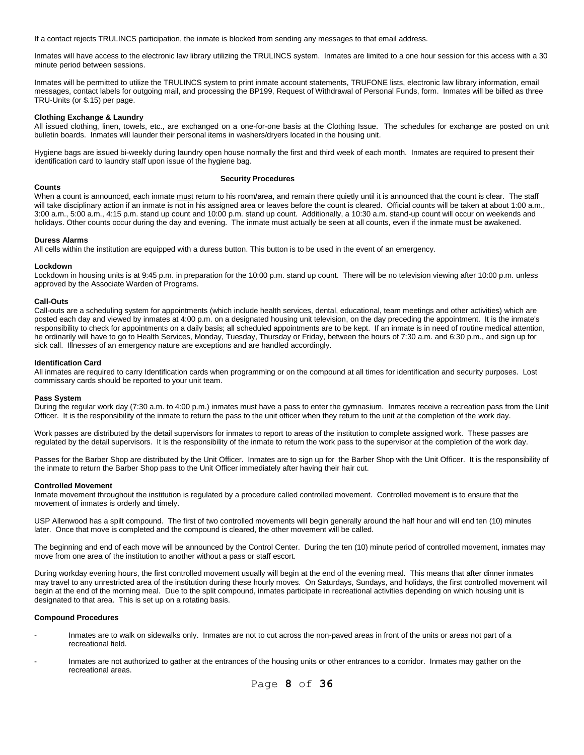If a contact rejects TRULINCS participation, the inmate is blocked from sending any messages to that email address.

Inmates will have access to the electronic law library utilizing the TRULINCS system. Inmates are limited to a one hour session for this access with a 30 minute period between sessions.

Inmates will be permitted to utilize the TRULINCS system to print inmate account statements, TRUFONE lists, electronic law library information, email messages, contact labels for outgoing mail, and processing the BP199, Request of Withdrawal of Personal Funds, form. Inmates will be billed as three TRU-Units (or \$.15) per page.

#### **Clothing Exchange & Laundry**

All issued clothing, linen, towels, etc., are exchanged on a one-for-one basis at the Clothing Issue. The schedules for exchange are posted on unit bulletin boards. Inmates will launder their personal items in washers/dryers located in the housing unit.

Hygiene bags are issued bi-weekly during laundry open house normally the first and third week of each month. Inmates are required to present their identification card to laundry staff upon issue of the hygiene bag.

## **Security Procedures**

#### **Counts**

When a count is announced, each inmate must return to his room/area, and remain there quietly until it is announced that the count is clear. The staff will take disciplinary action if an inmate is not in his assigned area or leaves before the count is cleared. Official counts will be taken at about 1:00 a.m., 3:00 a.m., 5:00 a.m., 4:15 p.m. stand up count and 10:00 p.m. stand up count. Additionally, a 10:30 a.m. stand-up count will occur on weekends and holidays. Other counts occur during the day and evening. The inmate must actually be seen at all counts, even if the inmate must be awakened.

#### **Duress Alarms**

All cells within the institution are equipped with a duress button. This button is to be used in the event of an emergency.

#### **Lockdown**

Lockdown in housing units is at 9:45 p.m. in preparation for the 10:00 p.m. stand up count. There will be no television viewing after 10:00 p.m. unless approved by the Associate Warden of Programs.

#### **Call-Outs**

Call-outs are a scheduling system for appointments (which include health services, dental, educational, team meetings and other activities) which are posted each day and viewed by inmates at 4:00 p.m. on a designated housing unit television, on the day preceding the appointment. It is the inmate's responsibility to check for appointments on a daily basis; all scheduled appointments are to be kept. If an inmate is in need of routine medical attention, he ordinarily will have to go to Health Services, Monday, Tuesday, Thursday or Friday, between the hours of 7:30 a.m. and 6:30 p.m., and sign up for sick call. Illnesses of an emergency nature are exceptions and are handled accordingly.

#### **Identification Card**

All inmates are required to carry Identification cards when programming or on the compound at all times for identification and security purposes. Lost commissary cards should be reported to your unit team.

#### **Pass System**

During the regular work day (7:30 a.m. to 4:00 p.m.) inmates must have a pass to enter the gymnasium. Inmates receive a recreation pass from the Unit Officer. It is the responsibility of the inmate to return the pass to the unit officer when they return to the unit at the completion of the work day.

Work passes are distributed by the detail supervisors for inmates to report to areas of the institution to complete assigned work. These passes are regulated by the detail supervisors. It is the responsibility of the inmate to return the work pass to the supervisor at the completion of the work day.

Passes for the Barber Shop are distributed by the Unit Officer. Inmates are to sign up for the Barber Shop with the Unit Officer. It is the responsibility of the inmate to return the Barber Shop pass to the Unit Officer immediately after having their hair cut.

#### **Controlled Movement**

Inmate movement throughout the institution is regulated by a procedure called controlled movement. Controlled movement is to ensure that the movement of inmates is orderly and timely.

USP Allenwood has a spilt compound. The first of two controlled movements will begin generally around the half hour and will end ten (10) minutes later. Once that move is completed and the compound is cleared, the other movement will be called.

The beginning and end of each move will be announced by the Control Center. During the ten (10) minute period of controlled movement, inmates may move from one area of the institution to another without a pass or staff escort.

During workday evening hours, the first controlled movement usually will begin at the end of the evening meal. This means that after dinner inmates may travel to any unrestricted area of the institution during these hourly moves. On Saturdays, Sundays, and holidays, the first controlled movement will begin at the end of the morning meal. Due to the split compound, inmates participate in recreational activities depending on which housing unit is designated to that area. This is set up on a rotating basis.

#### **Compound Procedures**

- Inmates are to walk on sidewalks only. Inmates are not to cut across the non-paved areas in front of the units or areas not part of a recreational field.
- Inmates are not authorized to gather at the entrances of the housing units or other entrances to a corridor. Inmates may gather on the recreational areas.

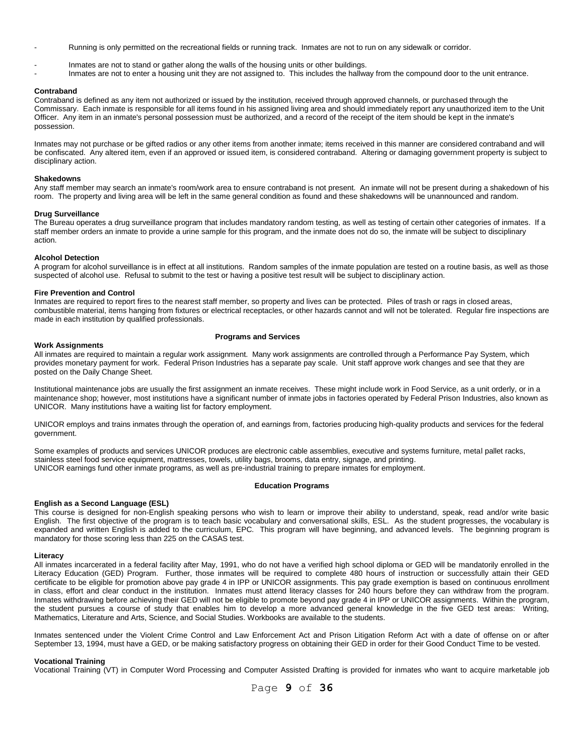- Running is only permitted on the recreational fields or running track. Inmates are not to run on any sidewalk or corridor.
- Inmates are not to stand or gather along the walls of the housing units or other buildings.
- Inmates are not to enter a housing unit they are not assigned to. This includes the hallway from the compound door to the unit entrance.

#### **Contraband**

Contraband is defined as any item not authorized or issued by the institution, received through approved channels, or purchased through the Commissary. Each inmate is responsible for all items found in his assigned living area and should immediately report any unauthorized item to the Unit Officer. Any item in an inmate's personal possession must be authorized, and a record of the receipt of the item should be kept in the inmate's possession.

Inmates may not purchase or be gifted radios or any other items from another inmate; items received in this manner are considered contraband and will be confiscated. Any altered item, even if an approved or issued item, is considered contraband. Altering or damaging government property is subject to disciplinary action.

#### **Shakedowns**

Any staff member may search an inmate's room/work area to ensure contraband is not present. An inmate will not be present during a shakedown of his room. The property and living area will be left in the same general condition as found and these shakedowns will be unannounced and random.

#### **Drug Surveillance**

The Bureau operates a drug surveillance program that includes mandatory random testing, as well as testing of certain other categories of inmates. If a staff member orders an inmate to provide a urine sample for this program, and the inmate does not do so, the inmate will be subject to disciplinary action.

#### **Alcohol Detection**

A program for alcohol surveillance is in effect at all institutions. Random samples of the inmate population are tested on a routine basis, as well as those suspected of alcohol use. Refusal to submit to the test or having a positive test result will be subject to disciplinary action.

#### **Fire Prevention and Control**

Inmates are required to report fires to the nearest staff member, so property and lives can be protected. Piles of trash or rags in closed areas, combustible material, items hanging from fixtures or electrical receptacles, or other hazards cannot and will not be tolerated. Regular fire inspections are made in each institution by qualified professionals.

#### **Work Assignments**

#### **Programs and Services**

All inmates are required to maintain a regular work assignment. Many work assignments are controlled through a Performance Pay System, which provides monetary payment for work. Federal Prison Industries has a separate pay scale. Unit staff approve work changes and see that they are posted on the Daily Change Sheet.

Institutional maintenance jobs are usually the first assignment an inmate receives. These might include work in Food Service, as a unit orderly, or in a maintenance shop; however, most institutions have a significant number of inmate jobs in factories operated by Federal Prison Industries, also known as UNICOR. Many institutions have a waiting list for factory employment.

UNICOR employs and trains inmates through the operation of, and earnings from, factories producing high-quality products and services for the federal government.

Some examples of products and services UNICOR produces are electronic cable assemblies, executive and systems furniture, metal pallet racks, stainless steel food service equipment, mattresses, towels, utility bags, brooms, data entry, signage, and printing. UNICOR earnings fund other inmate programs, as well as pre-industrial training to prepare inmates for employment.

#### **Education Programs**

#### **English as a Second Language (ESL)**

This course is designed for non-English speaking persons who wish to learn or improve their ability to understand, speak, read and/or write basic English. The first objective of the program is to teach basic vocabulary and conversational skills, ESL. As the student progresses, the vocabulary is expanded and written English is added to the curriculum, EPC. This program will have beginning, and advanced levels. The beginning program is mandatory for those scoring less than 225 on the CASAS test.

#### **Literacy**

All inmates incarcerated in a federal facility after May, 1991, who do not have a verified high school diploma or GED will be mandatorily enrolled in the Literacy Education (GED) Program. Further, those inmates will be required to complete 480 hours of instruction or successfully attain their GED certificate to be eligible for promotion above pay grade 4 in IPP or UNICOR assignments. This pay grade exemption is based on continuous enrollment in class, effort and clear conduct in the institution. Inmates must attend literacy classes for 240 hours before they can withdraw from the program. Inmates withdrawing before achieving their GED will not be eligible to promote beyond pay grade 4 in IPP or UNICOR assignments. Within the program, the student pursues a course of study that enables him to develop a more advanced general knowledge in the five GED test areas: Writing, Mathematics, Literature and Arts, Science, and Social Studies. Workbooks are available to the students.

Inmates sentenced under the Violent Crime Control and Law Enforcement Act and Prison Litigation Reform Act with a date of offense on or after September 13, 1994, must have a GED, or be making satisfactory progress on obtaining their GED in order for their Good Conduct Time to be vested.

#### **Vocational Training**

Vocational Training (VT) in Computer Word Processing and Computer Assisted Drafting is provided for inmates who want to acquire marketable job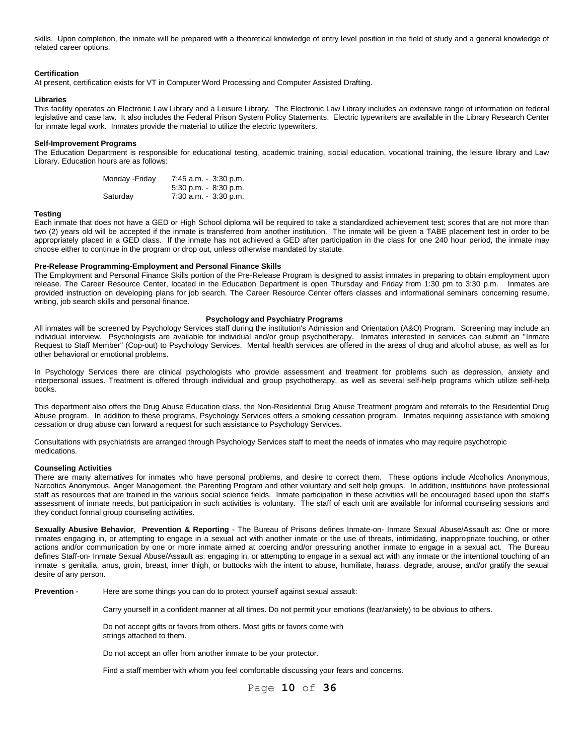skills. Upon completion, the inmate will be prepared with a theoretical knowledge of entry level position in the field of study and a general knowledge of related career options.

# **Certification**

At present, certification exists for VT in Computer Word Processing and Computer Assisted Drafting.

#### **Libraries**

This facility operates an Electronic Law Library and a Leisure Library. The Electronic Law Library includes an extensive range of information on federal legislative and case law. It also includes the Federal Prison System Policy Statements. Electric typewriters are available in the Library Research Center for inmate legal work. Inmates provide the material to utilize the electric typewriters.

#### **Self-Improvement Programs**

The Education Department is responsible for educational testing, academic training, social education, vocational training, the leisure library and Law Library. Education hours are as follows:

| Monday - Friday | $7:45$ a.m. $-3:30$ p.m. |
|-----------------|--------------------------|
|                 | $5:30$ p.m. $-8:30$ p.m. |
| Saturday        | $7:30$ a.m. $-3:30$ p.m. |

## **Testing**

Each inmate that does not have a GED or High School diploma will be required to take a standardized achievement test; scores that are not more than two (2) years old will be accepted if the inmate is transferred from another institution. The inmate will be given a TABE placement test in order to be appropriately placed in a GED class. If the inmate has not achieved a GED after participation in the class for one 240 hour period, the inmate may choose either to continue in the program or drop out, unless otherwise mandated by statute.

## **Pre-Release Programming-Employment and Personal Finance Skills**

The Employment and Personal Finance Skills portion of the Pre-Release Program is designed to assist inmates in preparing to obtain employment upon release. The Career Resource Center, located in the Education Department is open Thursday and Friday from 1:30 pm to 3:30 p.m. Inmates are provided instruction on developing plans for job search. The Career Resource Center offers classes and informational seminars concerning resume, writing, job search skills and personal finance.

## **Psychology and Psychiatry Programs**

All inmates will be screened by Psychology Services staff during the institution's Admission and Orientation (A&O) Program. Screening may include an individual interview. Psychologists are available for individual and/or group psychotherapy. Inmates interested in services can submit an "Inmate Request to Staff Member" (Cop-out) to Psychology Services. Mental health services are offered in the areas of drug and alcohol abuse, as well as for other behavioral or emotional problems.

In Psychology Services there are clinical psychologists who provide assessment and treatment for problems such as depression, anxiety and interpersonal issues. Treatment is offered through individual and group psychotherapy, as well as several self-help programs which utilize self-help books.

This department also offers the Drug Abuse Education class, the Non-Residential Drug Abuse Treatment program and referrals to the Residential Drug Abuse program. In addition to these programs, Psychology Services offers a smoking cessation program. Inmates requiring assistance with smoking cessation or drug abuse can forward a request for such assistance to Psychology Services.

Consultations with psychiatrists are arranged through Psychology Services staff to meet the needs of inmates who may require psychotropic medications.

#### **Counseling Activities**

There are many alternatives for inmates who have personal problems, and desire to correct them. These options include Alcoholics Anonymous, Narcotics Anonymous, Anger Management, the Parenting Program and other voluntary and self help groups. In addition, institutions have professional staff as resources that are trained in the various social science fields. Inmate participation in these activities will be encouraged based upon the staff's assessment of inmate needs, but participation in such activities is voluntary. The staff of each unit are available for informal counseling sessions and they conduct formal group counseling activities.

**Sexually Abusive Behavior**, **Prevention & Reporting** - The Bureau of Prisons defines Inmate-on- Inmate Sexual Abuse/Assault as: One or more inmates engaging in, or attempting to engage in a sexual act with another inmate or the use of threats, intimidating, inappropriate touching, or other actions and/or communication by one or more inmate aimed at coercing and/or pressuring another inmate to engage in a sexual act. The Bureau defines Staff-on- Inmate Sexual Abuse/Assault as: engaging in, or attempting to engage in a sexual act with any inmate or the intentional touching of an inmate=s genitalia, anus, groin, breast, inner thigh, or buttocks with the intent to abuse, humiliate, harass, degrade, arouse, and/or gratify the sexual desire of any person.

**Prevention** - Here are some things you can do to protect yourself against sexual assault:

Carry yourself in a confident manner at all times. Do not permit your emotions (fear/anxiety) to be obvious to others.

Do not accept gifts or favors from others. Most gifts or favors come with strings attached to them.

Do not accept an offer from another inmate to be your protector.

Find a staff member with whom you feel comfortable discussing your fears and concerns.

Page **10** of **36**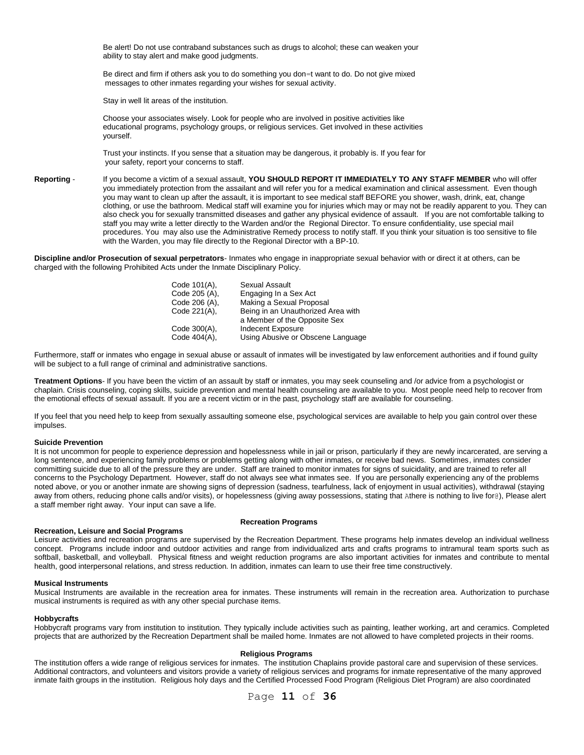Be alert! Do not use contraband substances such as drugs to alcohol; these can weaken your ability to stay alert and make good judgments.

Be direct and firm if others ask you to do something you don=t want to do. Do not give mixed messages to other inmates regarding your wishes for sexual activity.

Stay in well lit areas of the institution.

Choose your associates wisely. Look for people who are involved in positive activities like educational programs, psychology groups, or religious services. Get involved in these activities yourself.

Trust your instincts. If you sense that a situation may be dangerous, it probably is. If you fear for your safety, report your concerns to staff.

**Reporting** - If you become a victim of a sexual assault, **YOU SHOULD REPORT IT IMMEDIATELY TO ANY STAFF MEMBER** who will offer you immediately protection from the assailant and will refer you for a medical examination and clinical assessment. Even though you may want to clean up after the assault, it is important to see medical staff BEFORE you shower, wash, drink, eat, change clothing, or use the bathroom. Medical staff will examine you for injuries which may or may not be readily apparent to you. They can also check you for sexually transmitted diseases and gather any physical evidence of assault. If you are not comfortable talking to staff you may write a letter directly to the Warden and/or the Regional Director. To ensure confidentiality, use special mail procedures. You may also use the Administrative Remedy process to notify staff. If you think your situation is too sensitive to file with the Warden, you may file directly to the Regional Director with a BP-10.

**Discipline and/or Prosecution of sexual perpetrators**- Inmates who engage in inappropriate sexual behavior with or direct it at others, can be charged with the following Prohibited Acts under the Inmate Disciplinary Policy.

| Code 101(A),  | Sexual Assault                     |
|---------------|------------------------------------|
| Code 205 (A), | Engaging In a Sex Act              |
| Code 206 (A), | Making a Sexual Proposal           |
| Code 221(A),  | Being in an Unauthorized Area with |
|               | a Member of the Opposite Sex       |
| Code 300(A),  | Indecent Exposure                  |
| Code 404(A),  | Using Abusive or Obscene Language  |

Furthermore, staff or inmates who engage in sexual abuse or assault of inmates will be investigated by law enforcement authorities and if found guilty will be subject to a full range of criminal and administrative sanctions.

**Treatment Options**- If you have been the victim of an assault by staff or inmates, you may seek counseling and /or advice from a psychologist or chaplain. Crisis counseling, coping skills, suicide prevention and mental health counseling are available to you. Most people need help to recover from the emotional effects of sexual assault. If you are a recent victim or in the past, psychology staff are available for counseling.

If you feel that you need help to keep from sexually assaulting someone else, psychological services are available to help you gain control over these impulses.

#### **Suicide Prevention**

It is not uncommon for people to experience depression and hopelessness while in jail or prison, particularly if they are newly incarcerated, are serving a long sentence, and experiencing family problems or problems getting along with other inmates, or receive bad news. Sometimes, inmates consider committing suicide due to all of the pressure they are under. Staff are trained to monitor inmates for signs of suicidality, and are trained to refer all concerns to the Psychology Department. However, staff do not always see what inmates see. If you are personally experiencing any of the problems noted above, or you or another inmate are showing signs of depression (sadness, tearfulness, lack of enjoyment in usual activities), withdrawal (staying away from others, reducing phone calls and/or visits), or hopelessness (giving away possessions, stating that Athere is nothing to live for@), Please alert a staff member right away. Your input can save a life.

#### **Recreation, Leisure and Social Programs**

#### **Recreation Programs**

Leisure activities and recreation programs are supervised by the Recreation Department. These programs help inmates develop an individual wellness concept. Programs include indoor and outdoor activities and range from individualized arts and crafts programs to intramural team sports such as softball, basketball, and volleyball. Physical fitness and weight reduction programs are also important activities for inmates and contribute to mental health, good interpersonal relations, and stress reduction. In addition, inmates can learn to use their free time constructively.

#### **Musical Instruments**

Musical Instruments are available in the recreation area for inmates. These instruments will remain in the recreation area. Authorization to purchase musical instruments is required as with any other special purchase items.

## **Hobbycrafts**

Hobbycraft programs vary from institution to institution. They typically include activities such as painting, leather working, art and ceramics. Completed projects that are authorized by the Recreation Department shall be mailed home. Inmates are not allowed to have completed projects in their rooms.

#### **Religious Programs**

The institution offers a wide range of religious services for inmates. The institution Chaplains provide pastoral care and supervision of these services. Additional contractors, and volunteers and visitors provide a variety of religious services and programs for inmate representative of the many approved inmate faith groups in the institution. Religious holy days and the Certified Processed Food Program (Religious Diet Program) are also coordinated

# Page **11** of **36**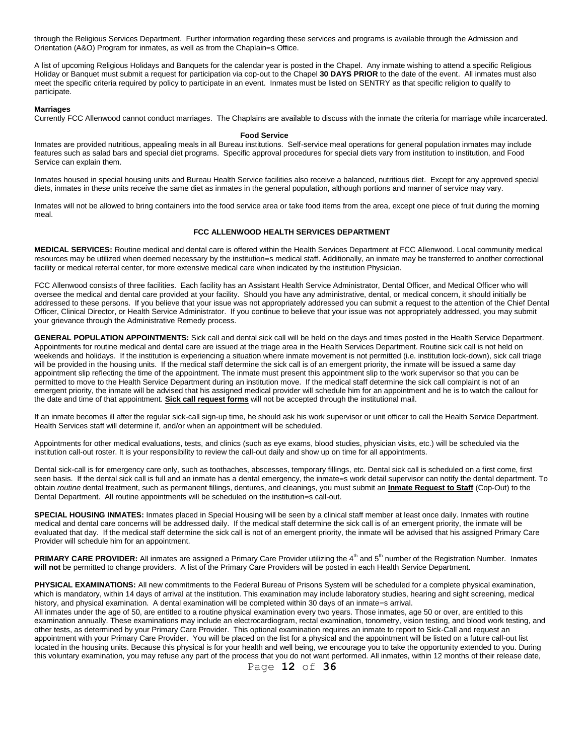through the Religious Services Department. Further information regarding these services and programs is available through the Admission and Orientation (A&O) Program for inmates, as well as from the Chaplain=s Office.

A list of upcoming Religious Holidays and Banquets for the calendar year is posted in the Chapel. Any inmate wishing to attend a specific Religious Holiday or Banquet must submit a request for participation via cop-out to the Chapel **30 DAYS PRIOR** to the date of the event. All inmates must also meet the specific criteria required by policy to participate in an event. Inmates must be listed on SENTRY as that specific religion to qualify to participate.

#### **Marriages**

Currently FCC Allenwood cannot conduct marriages. The Chaplains are available to discuss with the inmate the criteria for marriage while incarcerated.

#### **Food Service**

Inmates are provided nutritious, appealing meals in all Bureau institutions. Self-service meal operations for general population inmates may include features such as salad bars and special diet programs. Specific approval procedures for special diets vary from institution to institution, and Food Service can explain them.

Inmates housed in special housing units and Bureau Health Service facilities also receive a balanced, nutritious diet. Except for any approved special diets, inmates in these units receive the same diet as inmates in the general population, although portions and manner of service may vary.

Inmates will not be allowed to bring containers into the food service area or take food items from the area, except one piece of fruit during the morning meal.

# **FCC ALLENWOOD HEALTH SERVICES DEPARTMENT**

**MEDICAL SERVICES:** Routine medical and dental care is offered within the Health Services Department at FCC Allenwood. Local community medical resources may be utilized when deemed necessary by the institution=s medical staff. Additionally, an inmate may be transferred to another correctional facility or medical referral center, for more extensive medical care when indicated by the institution Physician.

FCC Allenwood consists of three facilities. Each facility has an Assistant Health Service Administrator, Dental Officer, and Medical Officer who will oversee the medical and dental care provided at your facility. Should you have any administrative, dental, or medical concern, it should initially be addressed to these persons. If you believe that your issue was not appropriately addressed you can submit a request to the attention of the Chief Dental Officer, Clinical Director, or Health Service Administrator. If you continue to believe that your issue was not appropriately addressed, you may submit your grievance through the Administrative Remedy process.

**GENERAL POPULATION APPOINTMENTS:** Sick call and dental sick call will be held on the days and times posted in the Health Service Department. Appointments for routine medical and dental care are issued at the triage area in the Health Services Department. Routine sick call is not held on weekends and holidays. If the institution is experiencing a situation where inmate movement is not permitted (i.e. institution lock-down), sick call triage will be provided in the housing units. If the medical staff determine the sick call is of an emergent priority, the inmate will be issued a same day appointment slip reflecting the time of the appointment. The inmate must present this appointment slip to the work supervisor so that you can be permitted to move to the Health Service Department during an institution move. If the medical staff determine the sick call complaint is not of an emergent priority, the inmate will be advised that his assigned medical provider will schedule him for an appointment and he is to watch the callout for the date and time of that appointment. **Sick call request forms** will not be accepted through the institutional mail.

If an inmate becomes ill after the regular sick-call sign-up time, he should ask his work supervisor or unit officer to call the Health Service Department. Health Services staff will determine if, and/or when an appointment will be scheduled.

Appointments for other medical evaluations, tests, and clinics (such as eye exams, blood studies, physician visits, etc.) will be scheduled via the institution call-out roster. It is your responsibility to review the call-out daily and show up on time for all appointments.

Dental sick-call is for emergency care only, such as toothaches, abscesses, temporary fillings, etc. Dental sick call is scheduled on a first come, first seen basis. If the dental sick call is full and an inmate has a dental emergency, the inmate=s work detail supervisor can notify the dental department. To obtain *routine* dental treatment, such as permanent fillings, dentures, and cleanings, you must submit an **Inmate Request to Staff** (Cop-Out) to the Dental Department. All routine appointments will be scheduled on the institution=s call-out.

**SPECIAL HOUSING INMATES:** Inmates placed in Special Housing will be seen by a clinical staff member at least once daily. Inmates with routine medical and dental care concerns will be addressed daily. If the medical staff determine the sick call is of an emergent priority, the inmate will be evaluated that day. If the medical staff determine the sick call is not of an emergent priority, the inmate will be advised that his assigned Primary Care Provider will schedule him for an appointment.

PRIMARY CARE PROVIDER: All inmates are assigned a Primary Care Provider utilizing the 4<sup>th</sup> and 5<sup>th</sup> number of the Registration Number. Inmates **will not** be permitted to change providers. A list of the Primary Care Providers will be posted in each Health Service Department.

PHYSICAL EXAMINATIONS: All new commitments to the Federal Bureau of Prisons System will be scheduled for a complete physical examination, which is mandatory, within 14 days of arrival at the institution. This examination may include laboratory studies, hearing and sight screening, medical history, and physical examination. A dental examination will be completed within 30 days of an inmate=s arrival.

All inmates under the age of 50, are entitled to a routine physical examination every two years. Those inmates, age 50 or over, are entitled to this examination annually. These examinations may include an electrocardiogram, rectal examination, tonometry, vision testing, and blood work testing, and other tests, as determined by your Primary Care Provider. This optional examination requires an inmate to report to Sick-Call and request an appointment with your Primary Care Provider. You will be placed on the list for a physical and the appointment will be listed on a future call-out list located in the housing units. Because this physical is for your health and well being, we encourage you to take the opportunity extended to you. During this voluntary examination, you may refuse any part of the process that you do not want performed. All inmates, within 12 months of their release date,

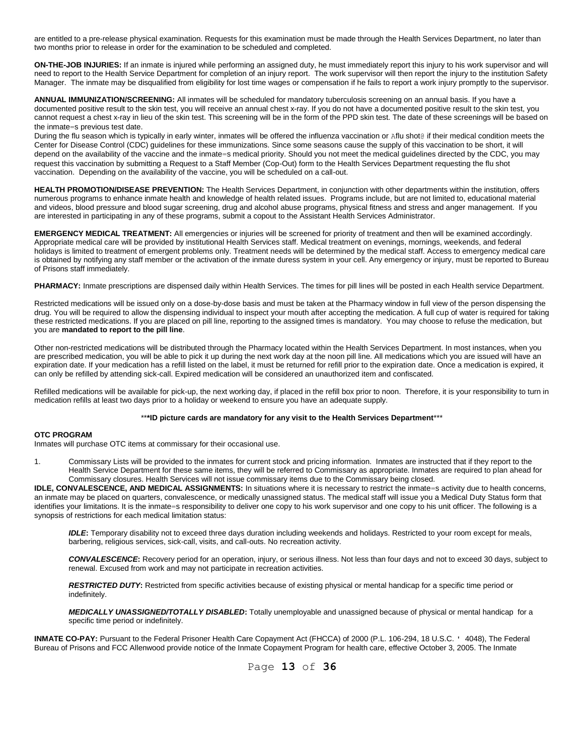are entitled to a pre-release physical examination. Requests for this examination must be made through the Health Services Department, no later than two months prior to release in order for the examination to be scheduled and completed.

**ON-THE-JOB INJURIES:** If an inmate is injured while performing an assigned duty, he must immediately report this injury to his work supervisor and will need to report to the Health Service Department for completion of an injury report. The work supervisor will then report the injury to the institution Safety Manager. The inmate may be disqualified from eligibility for lost time wages or compensation if he fails to report a work injury promptly to the supervisor.

**ANNUAL IMMUNIZATION/SCREENING:** All inmates will be scheduled for mandatory tuberculosis screening on an annual basis. If you have a documented positive result to the skin test, you will receive an annual chest x-ray. If you do not have a documented positive result to the skin test, you cannot request a chest x-ray in lieu of the skin test. This screening will be in the form of the PPD skin test. The date of these screenings will be based on the inmate=s previous test date.

During the flu season which is typically in early winter, inmates will be offered the influenza vaccination or Aflu shot@ if their medical condition meets the Center for Disease Control (CDC) guidelines for these immunizations. Since some seasons cause the supply of this vaccination to be short, it will depend on the availability of the vaccine and the inmate=s medical priority. Should you not meet the medical guidelines directed by the CDC, you may request this vaccination by submitting a Request to a Staff Member (Cop-Out) form to the Health Services Department requesting the flu shot vaccination. Depending on the availability of the vaccine, you will be scheduled on a call-out.

**HEALTH PROMOTION/DISEASE PREVENTION:** The Health Services Department, in conjunction with other departments within the institution, offers numerous programs to enhance inmate health and knowledge of health related issues. Programs include, but are not limited to, educational material and videos, blood pressure and blood sugar screening, drug and alcohol abuse programs, physical fitness and stress and anger management. If you are interested in participating in any of these programs, submit a copout to the Assistant Health Services Administrator.

**EMERGENCY MEDICAL TREATMENT:** All emergencies or injuries will be screened for priority of treatment and then will be examined accordingly. Appropriate medical care will be provided by institutional Health Services staff. Medical treatment on evenings, mornings, weekends, and federal holidays is limited to treatment of emergent problems only. Treatment needs will be determined by the medical staff. Access to emergency medical care is obtained by notifying any staff member or the activation of the inmate duress system in your cell. Any emergency or injury, must be reported to Bureau of Prisons staff immediately.

PHARMACY: Inmate prescriptions are dispensed daily within Health Services. The times for pill lines will be posted in each Health service Department.

Restricted medications will be issued only on a dose-by-dose basis and must be taken at the Pharmacy window in full view of the person dispensing the drug. You will be required to allow the dispensing individual to inspect your mouth after accepting the medication. A full cup of water is required for taking these restricted medications. If you are placed on pill line, reporting to the assigned times is mandatory. You may choose to refuse the medication, but you are **mandated to report to the pill line**.

Other non-restricted medications will be distributed through the Pharmacy located within the Health Services Department. In most instances, when you are prescribed medication, you will be able to pick it up during the next work day at the noon pill line. All medications which you are issued will have an expiration date. If your medication has a refill listed on the label, it must be returned for refill prior to the expiration date. Once a medication is expired, it can only be refilled by attending sick-call. Expired medication will be considered an unauthorized item and confiscated.

Refilled medications will be available for pick-up, the next working day, if placed in the refill box prior to noon. Therefore, it is your responsibility to turn in medication refills at least two days prior to a holiday or weekend to ensure you have an adequate supply.

# \*\***\*ID picture cards are mandatory for any visit to the Health Services Department**\*\*\*

#### **OTC PROGRAM**

Inmates will purchase OTC items at commissary for their occasional use.

1. Commissary Lists will be provided to the inmates for current stock and pricing information. Inmates are instructed that if they report to the Health Service Department for these same items, they will be referred to Commissary as appropriate. Inmates are required to plan ahead for Commissary closures. Health Services will not issue commissary items due to the Commissary being closed.

**IDLE, CONVALESCENCE, AND MEDICAL ASSIGNMENTS:** In situations where it is necessary to restrict the inmate=s activity due to health concerns, an inmate may be placed on quarters, convalescence, or medically unassigned status. The medical staff will issue you a Medical Duty Status form that identifies your limitations. It is the inmate=s responsibility to deliver one copy to his work supervisor and one copy to his unit officer. The following is a synopsis of restrictions for each medical limitation status:

*IDLE***:** Temporary disability not to exceed three days duration including weekends and holidays. Restricted to your room except for meals, barbering, religious services, sick-call, visits, and call-outs. No recreation activity.

*CONVALESCENCE***:** Recovery period for an operation, injury, or serious illness. Not less than four days and not to exceed 30 days, subject to renewal. Excused from work and may not participate in recreation activities.

*RESTRICTED DUTY***:** Restricted from specific activities because of existing physical or mental handicap for a specific time period or indefinitely.

*MEDICALLY UNASSIGNED/TOTALLY DISABLED***:** Totally unemployable and unassigned because of physical or mental handicap for a specific time period or indefinitely.

**INMATE CO-PAY:** Pursuant to the Federal Prisoner Health Care Copayment Act (FHCCA) of 2000 (P.L. 106-294, 18 U.S.C. ' 4048), The Federal Bureau of Prisons and FCC Allenwood provide notice of the Inmate Copayment Program for health care, effective October 3, 2005. The Inmate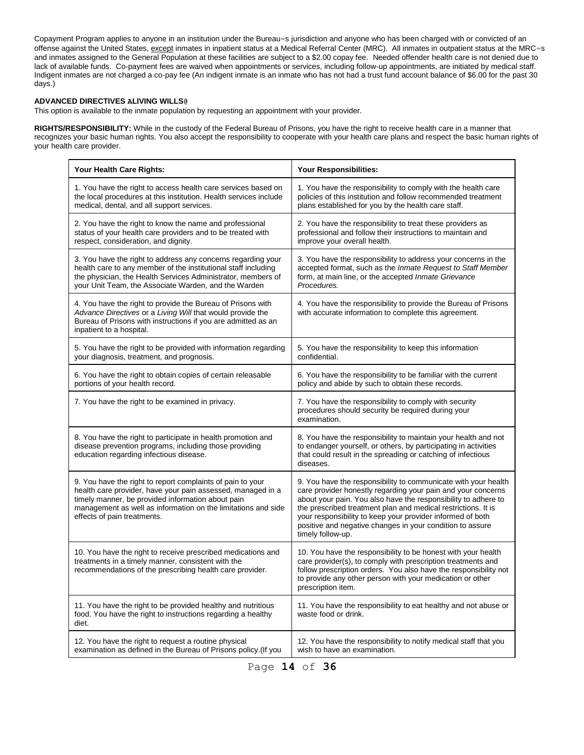Copayment Program applies to anyone in an institution under the Bureau=s jurisdiction and anyone who has been charged with or convicted of an offense against the United States, except inmates in inpatient status at a Medical Referral Center (MRC). All inmates in outpatient status at the MRC=s and inmates assigned to the General Population at these facilities are subject to a \$2.00 copay fee. Needed offender health care is not denied due to lack of available funds. Co-payment fees are waived when appointments or services, including follow-up appointments, are initiated by medical staff. Indigent inmates are not charged a co-pay fee (An indigent inmate is an inmate who has not had a trust fund account balance of \$6.00 for the past 30 days.)

# **ADVANCED DIRECTIVES ALIVING WILLS@**

This option is available to the inmate population by requesting an appointment with your provider.

**RIGHTS/RESPONSIBILITY:** While in the custody of the Federal Bureau of Prisons, you have the right to receive health care in a manner that recognizes your basic human rights. You also accept the responsibility to cooperate with your health care plans and respect the basic human rights of your health care provider.

| Your Health Care Rights:                                                                                                                                                                                                                                                       | Your Responsibilities:                                                                                                                                                                                                                                                                                                                                                                                            |  |
|--------------------------------------------------------------------------------------------------------------------------------------------------------------------------------------------------------------------------------------------------------------------------------|-------------------------------------------------------------------------------------------------------------------------------------------------------------------------------------------------------------------------------------------------------------------------------------------------------------------------------------------------------------------------------------------------------------------|--|
| 1. You have the right to access health care services based on<br>the local procedures at this institution. Health services include<br>medical, dental, and all support services.                                                                                               | 1. You have the responsibility to comply with the health care<br>policies of this institution and follow recommended treatment<br>plans established for you by the health care staff.                                                                                                                                                                                                                             |  |
| 2. You have the right to know the name and professional<br>status of your health care providers and to be treated with<br>respect, consideration, and dignity.                                                                                                                 | 2. You have the responsibility to treat these providers as<br>professional and follow their instructions to maintain and<br>improve your overall health.                                                                                                                                                                                                                                                          |  |
| 3. You have the right to address any concerns regarding your<br>health care to any member of the institutional staff including<br>the physician, the Health Services Administrator, members of<br>your Unit Team, the Associate Warden, and the Warden                         | 3. You have the responsibility to address your concerns in the<br>accepted format, such as the Inmate Request to Staff Member<br>form, at main line, or the accepted Inmate Grievance<br>Procedures.                                                                                                                                                                                                              |  |
| 4. You have the right to provide the Bureau of Prisons with<br>Advance Directives or a Living Will that would provide the<br>Bureau of Prisons with instructions if you are admitted as an<br>inpatient to a hospital.                                                         | 4. You have the responsibility to provide the Bureau of Prisons<br>with accurate information to complete this agreement.                                                                                                                                                                                                                                                                                          |  |
| 5. You have the right to be provided with information regarding<br>your diagnosis, treatment, and prognosis.                                                                                                                                                                   | 5. You have the responsibility to keep this information<br>confidential.                                                                                                                                                                                                                                                                                                                                          |  |
| 6. You have the right to obtain copies of certain releasable<br>portions of your health record.                                                                                                                                                                                | 6. You have the responsibility to be familiar with the current<br>policy and abide by such to obtain these records.                                                                                                                                                                                                                                                                                               |  |
| 7. You have the right to be examined in privacy.                                                                                                                                                                                                                               | 7. You have the responsibility to comply with security<br>procedures should security be required during your<br>examination.                                                                                                                                                                                                                                                                                      |  |
| 8. You have the right to participate in health promotion and<br>disease prevention programs, including those providing<br>education regarding infectious disease.                                                                                                              | 8. You have the responsibility to maintain your health and not<br>to endanger yourself, or others, by participating in activities<br>that could result in the spreading or catching of infectious<br>diseases.                                                                                                                                                                                                    |  |
| 9. You have the right to report complaints of pain to your<br>health care provider, have your pain assessed, managed in a<br>timely manner, be provided information about pain<br>management as well as information on the limitations and side<br>effects of pain treatments. | 9. You have the responsibility to communicate with your health<br>care provider honestly regarding your pain and your concerns<br>about your pain. You also have the responsibility to adhere to<br>the prescribed treatment plan and medical restrictions. It is<br>your responsibility to keep your provider informed of both<br>positive and negative changes in your condition to assure<br>timely follow-up. |  |
| 10. You have the right to receive prescribed medications and<br>treatments in a timely manner, consistent with the<br>recommendations of the prescribing health care provider.                                                                                                 | 10. You have the responsibility to be honest with your health<br>care provider(s), to comply with prescription treatments and<br>follow prescription orders. You also have the responsibility not<br>to provide any other person with your medication or other<br>prescription item.                                                                                                                              |  |
| 11. You have the right to be provided healthy and nutritious<br>food. You have the right to instructions regarding a healthy<br>diet.                                                                                                                                          | 11. You have the responsibility to eat healthy and not abuse or<br>waste food or drink.                                                                                                                                                                                                                                                                                                                           |  |
| 12. You have the right to request a routine physical<br>examination as defined in the Bureau of Prisons policy. (If you                                                                                                                                                        | 12. You have the responsibility to notify medical staff that you<br>wish to have an examination.                                                                                                                                                                                                                                                                                                                  |  |

Page **14** of **36**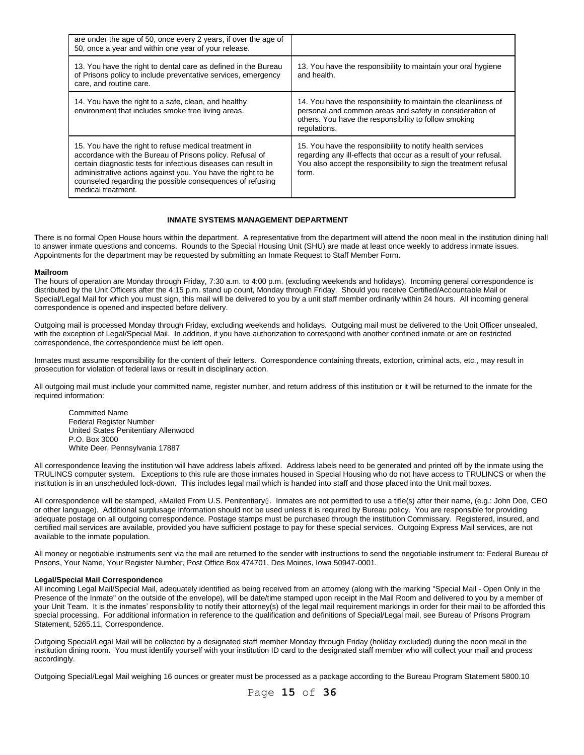| are under the age of 50, once every 2 years, if over the age of<br>50, once a year and within one year of your release.                                                                                                                                                                                                                |                                                                                                                                                                                                             |
|----------------------------------------------------------------------------------------------------------------------------------------------------------------------------------------------------------------------------------------------------------------------------------------------------------------------------------------|-------------------------------------------------------------------------------------------------------------------------------------------------------------------------------------------------------------|
| 13. You have the right to dental care as defined in the Bureau<br>of Prisons policy to include preventative services, emergency<br>care, and routine care.                                                                                                                                                                             | 13. You have the responsibility to maintain your oral hygiene<br>and health.                                                                                                                                |
| 14. You have the right to a safe, clean, and healthy<br>environment that includes smoke free living areas.                                                                                                                                                                                                                             | 14. You have the responsibility to maintain the cleanliness of<br>personal and common areas and safety in consideration of<br>others. You have the responsibility to follow smoking<br>regulations.         |
| 15. You have the right to refuse medical treatment in<br>accordance with the Bureau of Prisons policy. Refusal of<br>certain diagnostic tests for infectious diseases can result in<br>administrative actions against you. You have the right to be<br>counseled regarding the possible consequences of refusing<br>medical treatment. | 15. You have the responsibility to notify health services<br>regarding any ill-effects that occur as a result of your refusal.<br>You also accept the responsibility to sign the treatment refusal<br>form. |

## **INMATE SYSTEMS MANAGEMENT DEPARTMENT**

There is no formal Open House hours within the department. A representative from the department will attend the noon meal in the institution dining hall to answer inmate questions and concerns. Rounds to the Special Housing Unit (SHU) are made at least once weekly to address inmate issues. Appointments for the department may be requested by submitting an Inmate Request to Staff Member Form.

#### **Mailroom**

The hours of operation are Monday through Friday, 7:30 a.m. to 4:00 p.m. (excluding weekends and holidays). Incoming general correspondence is distributed by the Unit Officers after the 4:15 p.m. stand up count, Monday through Friday. Should you receive Certified/Accountable Mail or Special/Legal Mail for which you must sign, this mail will be delivered to you by a unit staff member ordinarily within 24 hours. All incoming general correspondence is opened and inspected before delivery.

Outgoing mail is processed Monday through Friday, excluding weekends and holidays. Outgoing mail must be delivered to the Unit Officer unsealed, with the exception of Legal/Special Mail. In addition, if you have authorization to correspond with another confined inmate or are on restricted correspondence, the correspondence must be left open.

Inmates must assume responsibility for the content of their letters. Correspondence containing threats, extortion, criminal acts, etc., may result in prosecution for violation of federal laws or result in disciplinary action.

All outgoing mail must include your committed name, register number, and return address of this institution or it will be returned to the inmate for the required information:

Committed Name Federal Register Number United States Penitentiary Allenwood P.O. Box 3000 White Deer, Pennsylvania 17887

All correspondence leaving the institution will have address labels affixed. Address labels need to be generated and printed off by the inmate using the TRULINCS computer system. Exceptions to this rule are those inmates housed in Special Housing who do not have access to TRULINCS or when the institution is in an unscheduled lock-down. This includes legal mail which is handed into staff and those placed into the Unit mail boxes.

All correspondence will be stamped, AMailed From U.S. Penitentiary@. Inmates are not permitted to use a title(s) after their name, (e.g.: John Doe, CEO or other language). Additional surplusage information should not be used unless it is required by Bureau policy. You are responsible for providing adequate postage on all outgoing correspondence. Postage stamps must be purchased through the institution Commissary. Registered, insured, and certified mail services are available, provided you have sufficient postage to pay for these special services. Outgoing Express Mail services, are not available to the inmate population.

All money or negotiable instruments sent via the mail are returned to the sender with instructions to send the negotiable instrument to: Federal Bureau of Prisons, Your Name, Your Register Number, Post Office Box 474701, Des Moines, Iowa 50947-0001.

# **Legal/Special Mail Correspondence**

All incoming Legal Mail/Special Mail, adequately identified as being received from an attorney (along with the marking "Special Mail - Open Only in the Presence of the Inmate" on the outside of the envelope), will be date/time stamped upon receipt in the Mail Room and delivered to you by a member of your Unit Team. It is the inmates' responsibility to notify their attorney(s) of the legal mail requirement markings in order for their mail to be afforded this special processing. For additional information in reference to the qualification and definitions of Special/Legal mail, see Bureau of Prisons Program Statement, 5265.11, Correspondence.

Outgoing Special/Legal Mail will be collected by a designated staff member Monday through Friday (holiday excluded) during the noon meal in the institution dining room. You must identify yourself with your institution ID card to the designated staff member who will collect your mail and process accordingly.

Outgoing Special/Legal Mail weighing 16 ounces or greater must be processed as a package according to the Bureau Program Statement 5800.10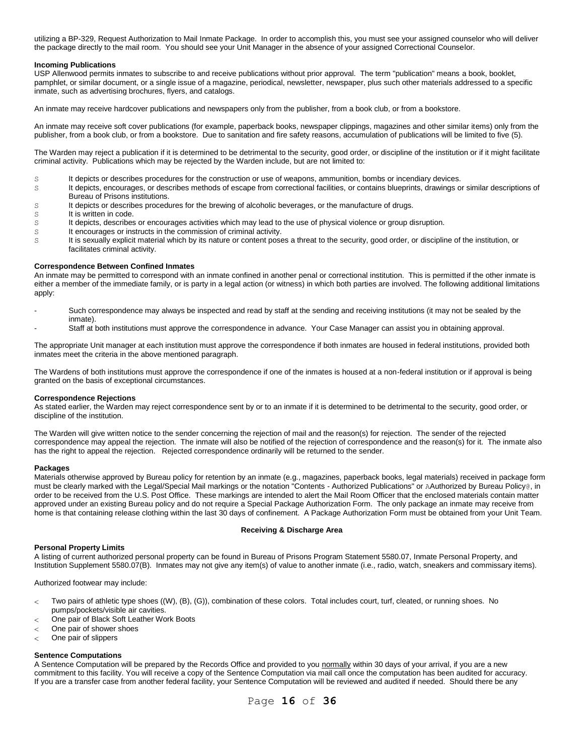utilizing a BP-329, Request Authorization to Mail Inmate Package. In order to accomplish this, you must see your assigned counselor who will deliver the package directly to the mail room. You should see your Unit Manager in the absence of your assigned Correctional Counselor.

# **Incoming Publications**

USP Allenwood permits inmates to subscribe to and receive publications without prior approval. The term "publication" means a book, booklet, pamphlet, or similar document, or a single issue of a magazine, periodical, newsletter, newspaper, plus such other materials addressed to a specific inmate, such as advertising brochures, flyers, and catalogs.

An inmate may receive hardcover publications and newspapers only from the publisher, from a book club, or from a bookstore.

An inmate may receive soft cover publications (for example, paperback books, newspaper clippings, magazines and other similar items) only from the publisher, from a book club, or from a bookstore. Due to sanitation and fire safety reasons, accumulation of publications will be limited to five (5).

The Warden may reject a publication if it is determined to be detrimental to the security, good order, or discipline of the institution or if it might facilitate criminal activity. Publications which may be rejected by the Warden include, but are not limited to:

- S It depicts or describes procedures for the construction or use of weapons, ammunition, bombs or incendiary devices.
- S It depicts, encourages, or describes methods of escape from correctional facilities, or contains blueprints, drawings or similar descriptions of Bureau of Prisons institutions.
- S It depicts or describes procedures for the brewing of alcoholic beverages, or the manufacture of drugs.
- s It is written in code.
- S It depicts, describes or encourages activities which may lead to the use of physical violence or group disruption.
- s It encourages or instructs in the commission of criminal activity.
- s It is sexually explicit material which by its nature or content poses a threat to the security, good order, or discipline of the institution, or facilitates criminal activity.

# **Correspondence Between Confined Inmates**

An inmate may be permitted to correspond with an inmate confined in another penal or correctional institution. This is permitted if the other inmate is either a member of the immediate family, or is party in a legal action (or witness) in which both parties are involved. The following additional limitations apply:

- Such correspondence may always be inspected and read by staff at the sending and receiving institutions (it may not be sealed by the inmate).
- Staff at both institutions must approve the correspondence in advance. Your Case Manager can assist you in obtaining approval.

The appropriate Unit manager at each institution must approve the correspondence if both inmates are housed in federal institutions, provided both inmates meet the criteria in the above mentioned paragraph.

The Wardens of both institutions must approve the correspondence if one of the inmates is housed at a non-federal institution or if approval is being granted on the basis of exceptional circumstances.

#### **Correspondence Rejections**

As stated earlier, the Warden may reject correspondence sent by or to an inmate if it is determined to be detrimental to the security, good order, or discipline of the institution.

The Warden will give written notice to the sender concerning the rejection of mail and the reason(s) for rejection. The sender of the rejected correspondence may appeal the rejection. The inmate will also be notified of the rejection of correspondence and the reason(s) for it. The inmate also has the right to appeal the rejection. Rejected correspondence ordinarily will be returned to the sender.

#### **Packages**

Materials otherwise approved by Bureau policy for retention by an inmate (e.g., magazines, paperback books, legal materials) received in package form must be clearly marked with the Legal/Special Mail markings or the notation "Contents - Authorized Publications" or AAuthorized by Bureau Policy@, in order to be received from the U.S. Post Office. These markings are intended to alert the Mail Room Officer that the enclosed materials contain matter approved under an existing Bureau policy and do not require a Special Package Authorization Form. The only package an inmate may receive from home is that containing release clothing within the last 30 days of confinement. A Package Authorization Form must be obtained from your Unit Team.

#### **Receiving & Discharge Area**

#### **Personal Property Limits**

A listing of current authorized personal property can be found in Bureau of Prisons Program Statement 5580.07, Inmate Personal Property, and Institution Supplement 5580.07(B). Inmates may not give any item(s) of value to another inmate (i.e., radio, watch, sneakers and commissary items).

Authorized footwear may include:

- Two pairs of athletic type shoes ((W), (B), (G)), combination of these colors. Total includes court, turf, cleated, or running shoes. No  $\overline{a}$ pumps/pockets/visible air cavities.
- One pair of Black Soft Leather Work Boots  $\,<$
- One pair of shower shoes  $\lt$
- One pair of slippers  $\overline{<}$

# **Sentence Computations**

A Sentence Computation will be prepared by the Records Office and provided to you normally within 30 days of your arrival, if you are a new commitment to this facility. You will receive a copy of the Sentence Computation via mail call once the computation has been audited for accuracy. If you are a transfer case from another federal facility, your Sentence Computation will be reviewed and audited if needed. Should there be any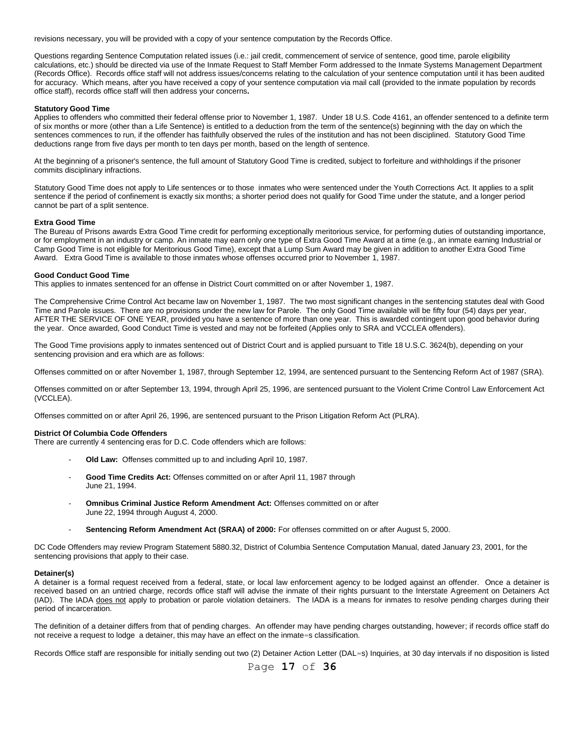revisions necessary, you will be provided with a copy of your sentence computation by the Records Office.

Questions regarding Sentence Computation related issues (i.e.: jail credit, commencement of service of sentence, good time, parole eligibility calculations, etc.) should be directed via use of the Inmate Request to Staff Member Form addressed to the Inmate Systems Management Department (Records Office). Records office staff will not address issues/concerns relating to the calculation of your sentence computation until it has been audited for accuracy. Which means, after you have received a copy of your sentence computation via mail call (provided to the inmate population by records office staff), records office staff will then address your concerns**.** 

# **Statutory Good Time**

Applies to offenders who committed their federal offense prior to November 1, 1987. Under 18 U.S. Code 4161, an offender sentenced to a definite term of six months or more (other than a Life Sentence) is entitled to a deduction from the term of the sentence(s) beginning with the day on which the sentences commences to run, if the offender has faithfully observed the rules of the institution and has not been disciplined. Statutory Good Time deductions range from five days per month to ten days per month, based on the length of sentence.

At the beginning of a prisoner's sentence, the full amount of Statutory Good Time is credited, subject to forfeiture and withholdings if the prisoner commits disciplinary infractions.

Statutory Good Time does not apply to Life sentences or to those inmates who were sentenced under the Youth Corrections Act. It applies to a split sentence if the period of confinement is exactly six months; a shorter period does not qualify for Good Time under the statute, and a longer period cannot be part of a split sentence.

#### **Extra Good Time**

The Bureau of Prisons awards Extra Good Time credit for performing exceptionally meritorious service, for performing duties of outstanding importance, or for employment in an industry or camp. An inmate may earn only one type of Extra Good Time Award at a time (e.g., an inmate earning Industrial or Camp Good Time is not eligible for Meritorious Good Time), except that a Lump Sum Award may be given in addition to another Extra Good Time Award. Extra Good Time is available to those inmates whose offenses occurred prior to November 1, 1987.

# **Good Conduct Good Time**

This applies to inmates sentenced for an offense in District Court committed on or after November 1, 1987.

The Comprehensive Crime Control Act became law on November 1, 1987. The two most significant changes in the sentencing statutes deal with Good Time and Parole issues. There are no provisions under the new law for Parole. The only Good Time available will be fifty four (54) days per year, AFTER THE SERVICE OF ONE YEAR, provided you have a sentence of more than one year. This is awarded contingent upon good behavior during the year. Once awarded, Good Conduct Time is vested and may not be forfeited (Applies only to SRA and VCCLEA offenders).

The Good Time provisions apply to inmates sentenced out of District Court and is applied pursuant to Title 18 U.S.C. 3624(b), depending on your sentencing provision and era which are as follows:

Offenses committed on or after November 1, 1987, through September 12, 1994, are sentenced pursuant to the Sentencing Reform Act of 1987 (SRA).

Offenses committed on or after September 13, 1994, through April 25, 1996, are sentenced pursuant to the Violent Crime Control Law Enforcement Act (VCCLEA).

Offenses committed on or after April 26, 1996, are sentenced pursuant to the Prison Litigation Reform Act (PLRA).

# **District Of Columbia Code Offenders**

There are currently 4 sentencing eras for D.C. Code offenders which are follows:

- **Old Law:** Offenses committed up to and including April 10, 1987.
- Good Time Credits Act: Offenses committed on or after April 11, 1987 through June 21, 1994.
- **Omnibus Criminal Justice Reform Amendment Act:** Offenses committed on or after June 22, 1994 through August 4, 2000.
- **Sentencing Reform Amendment Act (SRAA) of 2000:** For offenses committed on or after August 5, 2000.

DC Code Offenders may review Program Statement 5880.32, District of Columbia Sentence Computation Manual, dated January 23, 2001, for the sentencing provisions that apply to their case.

#### **Detainer(s)**

A detainer is a formal request received from a federal, state, or local law enforcement agency to be lodged against an offender. Once a detainer is received based on an untried charge, records office staff will advise the inmate of their rights pursuant to the Interstate Agreement on Detainers Act (IAD). The IADA does not apply to probation or parole violation detainers. The IADA is a means for inmates to resolve pending charges during their period of incarceration.

The definition of a detainer differs from that of pending charges. An offender may have pending charges outstanding, however; if records office staff do not receive a request to lodge a detainer, this may have an effect on the inmate=s classification.

Records Office staff are responsible for initially sending out two (2) Detainer Action Letter (DAL=s) Inquiries, at 30 day intervals if no disposition is listed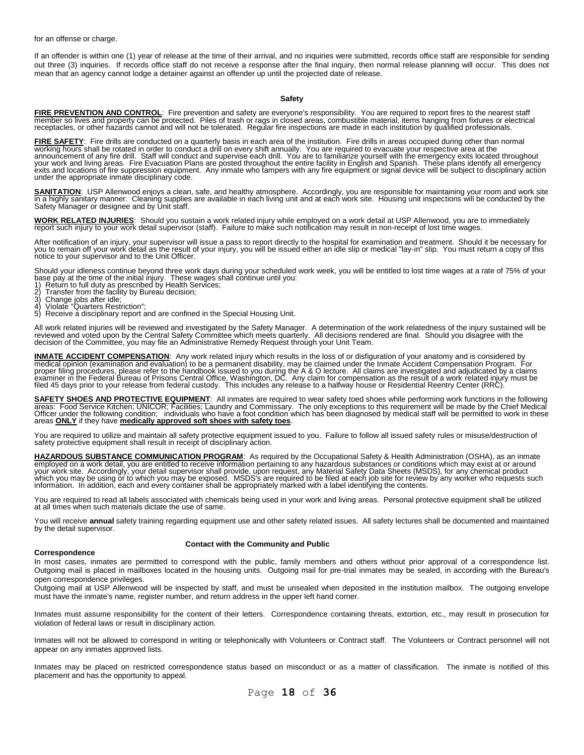for an offense or charge.

If an offender is within one (1) year of release at the time of their arrival, and no inquiries were submitted, records office staff are responsible for sending out three (3) inquiries. If records office staff do not receive a response after the final inquiry, then normal release planning will occur. This does not mean that an agency cannot lodge a detainer against an offender up until the projected date of release.

#### **Safety**

FIRE PREVENTION AND CONTROL: Fire prevention and safety are everyone's responsibility. You are required to report fires to the nearest staff<br>member so lives and property can be protected. Piles of trash or rags in closed a

<u>FIRE SAFETY</u>: Fire drills are conducted on a quarterly basis in each area of the institution. Fire drills in areas occupied during other than normal<br>working hours shall be rotated in order to conduct a drill on every shif exits and locations of fire suppression equipment. Any inmate who tampers with any fire equipment or signal device will be subject to disciplinary action under the appropriate inmate disciplinary code.

SANITATION: USP Allenwood enjoys a clean, safe, and healthy atmosphere. Accordingly, you are responsible for maintaining your room and work site<br>in a highly sanitary manner. Cleaning supplies are available in each living u

**WORK RELATED INJURIES**: Should you sustain a work related injury while employed on a work detail at USP Allenwood, you are to immediately report such injury to your work detail supervisor (staff). Failure to make such notification may result in non-receipt of lost time wages.

After notification of an injury, your supervisor will issue a pass to report directly to the hospital for examination and treatment. Should it be necessary for<br>you to remain off your work detail as the result of your injur notice to your supervisor and to the Unit Officer.

Should your idleness continue beyond three work days during your scheduled work week, you will be entitled to lost time wages at a rate of 75% of your<br>base pay at the time of the initial injury. These wages shall continue

- 
- 
- 
- 2) Transier nom the facility by B<br>3) Change jobs after idle;<br>4) Violate "Quarters Restriction";
- 4) Violatẽ "Quarters Restriction";<br>5) Receive a disciplinary report and are confined in the Special Housing Unit.

All work related injuries will be reviewed and investigated by the Safety Manager. A determination of the work relatedness of the injury sustained will be reviewed and voted upon by the Central Safety Committee which meets quarterly. All decisions rendered are final. Should you disagree with the<br>decision of the Committee, you may file an Administrative Remedy Request throu

**INMATE ACCIDENT COMPENSATION**: Any work related injury which results in the loss of or disfiguration of your anatomy and is considered by medical opinion (examination and evaluation) to be a permanent disability, may be claimed under the Inmate Accident Compensation Program. For<br>proper filing procedures, please refer to the handbook issued to you during the

**SAFETY SHOES AND PROTECTIVE EQUIPMENT**: All inmates are required to wear safety toed shoes while performing work functions in the following areas: Food Service Kitchen; UNICOR; Facilities; Laundry and Commissary. The only exceptions to this requirement will be made by the Chief Medical<br>Officer under the following condition; individuals who have a foot condi

You are required to utilize and maintain all safety protective equipment issued to you. Failure to follow all issued safety rules or misuse/destruction of<br>safety protective equipment shall result in receipt of disciplinary

**HAZARDOUS SUBSTANCE COMMUNICATION PROGRAM**: As required by the Occupational Safety & Health Administration (OSHA), as an inmate<br>employed on a work detail, you are entitled to receive information pertaining to any hazardou information. In addition, each and every container shall be appropriately marked with a label identifying the contents.

You are required to read all labels associated with chemicals being used in your work and living areas. Personal protective equipment shall be utilized at all times when such materials dictate the use of same.

You will receive **annual** safety training regarding equipment use and other safety related issues. All safety lectures shall be documented and maintained by the detail supervisor.

#### **Contact with the Community and Public**

#### **Correspondence**

In most cases, inmates are permitted to correspond with the public, family members and others without prior approval of a correspondence list. Outgoing mail is placed in mailboxes located in the housing units. Outgoing mail for pre-trial inmates may be sealed, in according with the Bureau's open correspondence privileges.

Outgoing mail at USP Allenwood will be inspected by staff, and must be unsealed when deposited in the institution mailbox. The outgoing envelope must have the inmate's name, register number, and return address in the upper left hand corner.

Inmates must assume responsibility for the content of their letters. Correspondence containing threats, extortion, etc., may result in prosecution for violation of federal laws or result in disciplinary action.

Inmates will not be allowed to correspond in writing or telephonically with Volunteers or Contract staff. The Volunteers or Contract personnel will not appear on any inmates approved lists.

Inmates may be placed on restricted correspondence status based on misconduct or as a matter of classification. The inmate is notified of this placement and has the opportunity to appeal.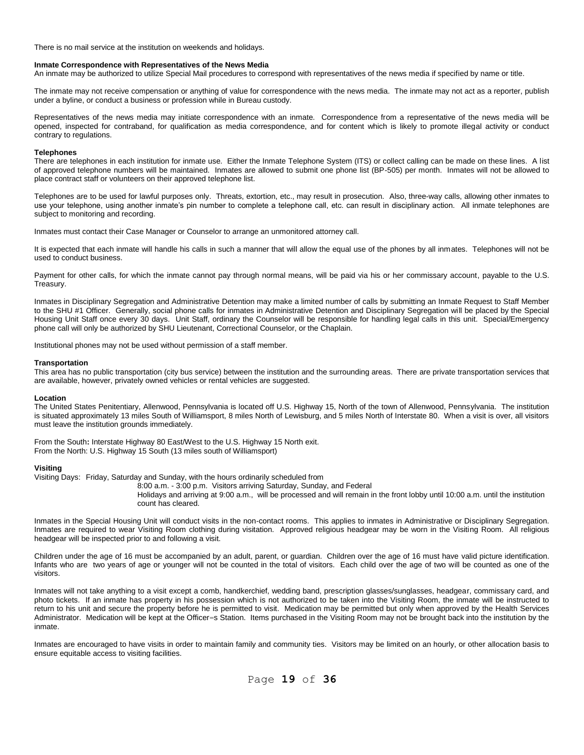There is no mail service at the institution on weekends and holidays.

#### **Inmate Correspondence with Representatives of the News Media**

An inmate may be authorized to utilize Special Mail procedures to correspond with representatives of the news media if specified by name or title.

The inmate may not receive compensation or anything of value for correspondence with the news media. The inmate may not act as a reporter, publish under a byline, or conduct a business or profession while in Bureau custody.

Representatives of the news media may initiate correspondence with an inmate. Correspondence from a representative of the news media will be opened, inspected for contraband, for qualification as media correspondence, and for content which is likely to promote illegal activity or conduct contrary to regulations.

#### **Telephones**

There are telephones in each institution for inmate use. Either the Inmate Telephone System (ITS) or collect calling can be made on these lines. A list of approved telephone numbers will be maintained. Inmates are allowed to submit one phone list (BP-505) per month. Inmates will not be allowed to place contract staff or volunteers on their approved telephone list.

Telephones are to be used for lawful purposes only. Threats, extortion, etc., may result in prosecution. Also, three-way calls, allowing other inmates to use your telephone, using another inmate's pin number to complete a telephone call, etc. can result in disciplinary action. All inmate telephones are subject to monitoring and recording.

Inmates must contact their Case Manager or Counselor to arrange an unmonitored attorney call.

It is expected that each inmate will handle his calls in such a manner that will allow the equal use of the phones by all inmates. Telephones will not be used to conduct business.

Payment for other calls, for which the inmate cannot pay through normal means, will be paid via his or her commissary account, payable to the U.S. Treasury.

Inmates in Disciplinary Segregation and Administrative Detention may make a limited number of calls by submitting an Inmate Request to Staff Member to the SHU #1 Officer. Generally, social phone calls for inmates in Administrative Detention and Disciplinary Segregation will be placed by the Special Housing Unit Staff once every 30 days. Unit Staff, ordinary the Counselor will be responsible for handling legal calls in this unit. Special/Emergency phone call will only be authorized by SHU Lieutenant, Correctional Counselor, or the Chaplain.

Institutional phones may not be used without permission of a staff member.

## **Transportation**

This area has no public transportation (city bus service) between the institution and the surrounding areas. There are private transportation services that are available, however, privately owned vehicles or rental vehicles are suggested.

#### **Location**

The United States Penitentiary, Allenwood, Pennsylvania is located off U.S. Highway 15, North of the town of Allenwood, Pennsylvania. The institution is situated approximately 13 miles South of Williamsport, 8 miles North of Lewisburg, and 5 miles North of Interstate 80. When a visit is over, all visitors must leave the institution grounds immediately.

From the South**:** Interstate Highway 80 East/West to the U.S. Highway 15 North exit. From the North: U.S. Highway 15 South (13 miles south of Williamsport)

# **Visiting**

Visiting Days: Friday, Saturday and Sunday, with the hours ordinarily scheduled from

8:00 a.m. - 3:00 p.m. Visitors arriving Saturday, Sunday, and Federal

Holidays and arriving at 9:00 a.m., will be processed and will remain in the front lobby until 10:00 a.m. until the institution count has cleared.

Inmates in the Special Housing Unit will conduct visits in the non-contact rooms. This applies to inmates in Administrative or Disciplinary Segregation. Inmates are required to wear Visiting Room clothing during visitation. Approved religious headgear may be worn in the Visiting Room. All religious headgear will be inspected prior to and following a visit.

Children under the age of 16 must be accompanied by an adult, parent, or guardian. Children over the age of 16 must have valid picture identification. Infants who are two years of age or younger will not be counted in the total of visitors. Each child over the age of two will be counted as one of the visitors.

Inmates will not take anything to a visit except a comb, handkerchief, wedding band, prescription glasses/sunglasses, headgear, commissary card, and photo tickets. If an inmate has property in his possession which is not authorized to be taken into the Visiting Room, the inmate will be instructed to return to his unit and secure the property before he is permitted to visit. Medication may be permitted but only when approved by the Health Services Administrator. Medication will be kept at the Officer=s Station. Items purchased in the Visiting Room may not be brought back into the institution by the inmate.

Inmates are encouraged to have visits in order to maintain family and community ties. Visitors may be limited on an hourly, or other allocation basis to ensure equitable access to visiting facilities.

Page **19** of **36**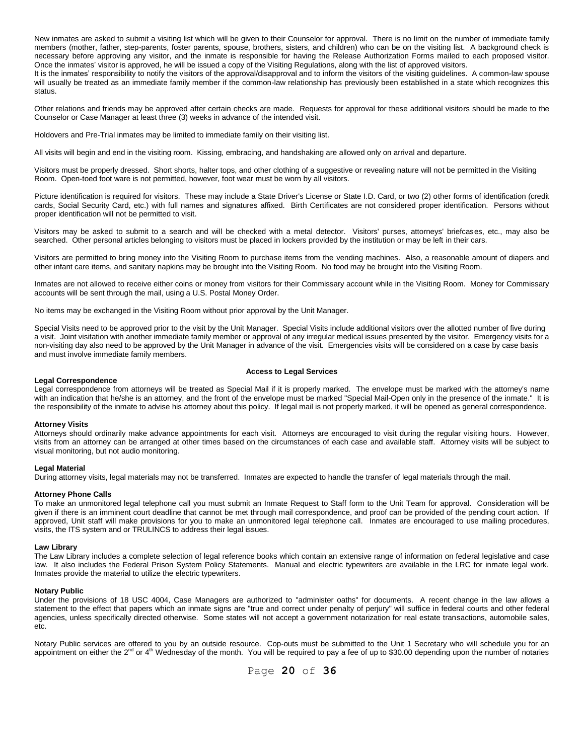New inmates are asked to submit a visiting list which will be given to their Counselor for approval. There is no limit on the number of immediate family members (mother, father, step-parents, foster parents, spouse, brothers, sisters, and children) who can be on the visiting list. A background check is necessary before approving any visitor, and the inmate is responsible for having the Release Authorization Forms mailed to each proposed visitor. Once the inmates' visitor is approved, he will be issued a copy of the Visiting Regulations, along with the list of approved visitors. It is the inmates' responsibility to notify the visitors of the approval/disapproval and to inform the visitors of the visiting guidelines. A common-law spouse will usually be treated as an immediate family member if the common-law relationship has previously been established in a state which recognizes this

Other relations and friends may be approved after certain checks are made. Requests for approval for these additional visitors should be made to the Counselor or Case Manager at least three (3) weeks in advance of the intended visit.

Holdovers and Pre-Trial inmates may be limited to immediate family on their visiting list.

All visits will begin and end in the visiting room. Kissing, embracing, and handshaking are allowed only on arrival and departure.

Visitors must be properly dressed. Short shorts, halter tops, and other clothing of a suggestive or revealing nature will not be permitted in the Visiting Room. Open-toed foot ware is not permitted, however, foot wear must be worn by all visitors.

Picture identification is required for visitors. These may include a State Driver's License or State I.D. Card, or two (2) other forms of identification (credit cards, Social Security Card, etc.) with full names and signatures affixed. Birth Certificates are not considered proper identification. Persons without proper identification will not be permitted to visit.

Visitors may be asked to submit to a search and will be checked with a metal detector. Visitors' purses, attorneys' briefcases, etc., may also be searched. Other personal articles belonging to visitors must be placed in lockers provided by the institution or may be left in their cars.

Visitors are permitted to bring money into the Visiting Room to purchase items from the vending machines. Also, a reasonable amount of diapers and other infant care items, and sanitary napkins may be brought into the Visiting Room. No food may be brought into the Visiting Room.

Inmates are not allowed to receive either coins or money from visitors for their Commissary account while in the Visiting Room. Money for Commissary accounts will be sent through the mail, using a U.S. Postal Money Order.

No items may be exchanged in the Visiting Room without prior approval by the Unit Manager.

Special Visits need to be approved prior to the visit by the Unit Manager. Special Visits include additional visitors over the allotted number of five during a visit. Joint visitation with another immediate family member or approval of any irregular medical issues presented by the visitor. Emergency visits for a non-visiting day also need to be approved by the Unit Manager in advance of the visit. Emergencies visits will be considered on a case by case basis and must involve immediate family members.

#### **Access to Legal Services**

#### **Legal Correspondence**

Legal correspondence from attorneys will be treated as Special Mail if it is properly marked. The envelope must be marked with the attorney's name with an indication that he/she is an attorney, and the front of the envelope must be marked "Special Mail-Open only in the presence of the inmate." It is the responsibility of the inmate to advise his attorney about this policy. If legal mail is not properly marked, it will be opened as general correspondence.

#### **Attorney Visits**

status.

Attorneys should ordinarily make advance appointments for each visit. Attorneys are encouraged to visit during the regular visiting hours. However, visits from an attorney can be arranged at other times based on the circumstances of each case and available staff. Attorney visits will be subject to visual monitoring, but not audio monitoring.

#### **Legal Material**

During attorney visits, legal materials may not be transferred. Inmates are expected to handle the transfer of legal materials through the mail.

#### **Attorney Phone Calls**

To make an unmonitored legal telephone call you must submit an Inmate Request to Staff form to the Unit Team for approval. Consideration will be given if there is an imminent court deadline that cannot be met through mail correspondence, and proof can be provided of the pending court action. If approved, Unit staff will make provisions for you to make an unmonitored legal telephone call. Inmates are encouraged to use mailing procedures, visits, the ITS system and or TRULINCS to address their legal issues.

#### **Law Library**

The Law Library includes a complete selection of legal reference books which contain an extensive range of information on federal legislative and case law. It also includes the Federal Prison System Policy Statements. Manual and electric typewriters are available in the LRC for inmate legal work. Inmates provide the material to utilize the electric typewriters.

#### **Notary Public**

Under the provisions of 18 USC 4004, Case Managers are authorized to "administer oaths" for documents. A recent change in the law allows a statement to the effect that papers which an inmate signs are "true and correct under penalty of perjury" will suffice in federal courts and other federal agencies, unless specifically directed otherwise. Some states will not accept a government notarization for real estate transactions, automobile sales, etc.

Notary Public services are offered to you by an outside resource. Cop-outs must be submitted to the Unit 1 Secretary who will schedule you for an appointment on either the  $2^{nd}$  or  $4^{th}$  Wednesday of the month. You will be required to pay a fee of up to \$30.00 depending upon the number of notaries

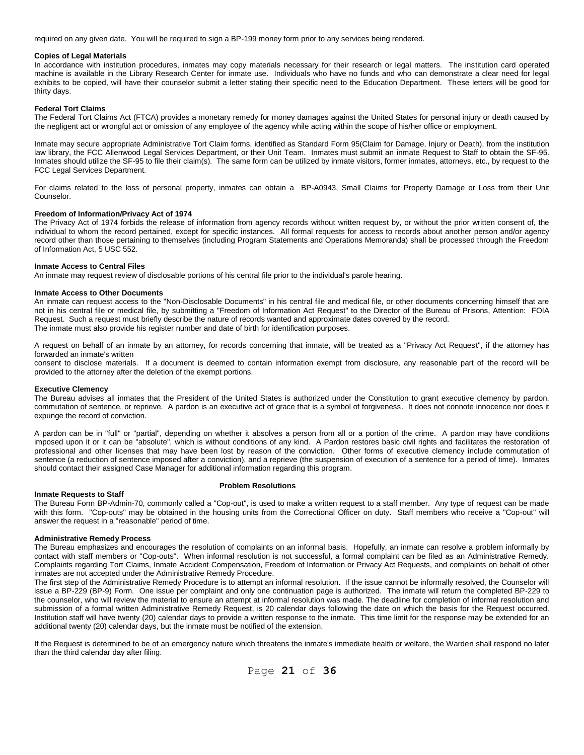required on any given date. You will be required to sign a BP-199 money form prior to any services being rendered.

#### **Copies of Legal Materials**

In accordance with institution procedures, inmates may copy materials necessary for their research or legal matters. The institution card operated machine is available in the Library Research Center for inmate use. Individuals who have no funds and who can demonstrate a clear need for legal exhibits to be copied, will have their counselor submit a letter stating their specific need to the Education Department. These letters will be good for thirty days.

# **Federal Tort Claims**

The Federal Tort Claims Act (FTCA) provides a monetary remedy for money damages against the United States for personal injury or death caused by the negligent act or wrongful act or omission of any employee of the agency while acting within the scope of his/her office or employment.

Inmate may secure appropriate Administrative Tort Claim forms, identified as Standard Form 95(Claim for Damage, Injury or Death), from the institution law library, the FCC Allenwood Legal Services Department, or their Unit Team. Inmates must submit an inmate Request to Staff to obtain the SF-95. Inmates should utilize the SF-95 to file their claim(s). The same form can be utilized by inmate visitors, former inmates, attorneys, etc., by request to the FCC Legal Services Department.

For claims related to the loss of personal property, inmates can obtain a BP-A0943, Small Claims for Property Damage or Loss from their Unit Counselor.

#### **Freedom of Information/Privacy Act of 1974**

The Privacy Act of 1974 forbids the release of information from agency records without written request by, or without the prior written consent of, the individual to whom the record pertained, except for specific instances. All formal requests for access to records about another person and/or agency record other than those pertaining to themselves (including Program Statements and Operations Memoranda) shall be processed through the Freedom of Information Act, 5 USC 552.

#### **Inmate Access to Central Files**

An inmate may request review of disclosable portions of his central file prior to the individual's parole hearing.

#### **Inmate Access to Other Documents**

An inmate can request access to the "Non-Disclosable Documents" in his central file and medical file, or other documents concerning himself that are not in his central file or medical file, by submitting a "Freedom of Information Act Request" to the Director of the Bureau of Prisons, Attention: FOIA Request. Such a request must briefly describe the nature of records wanted and approximate dates covered by the record. The inmate must also provide his register number and date of birth for identification purposes.

A request on behalf of an inmate by an attorney, for records concerning that inmate, will be treated as a "Privacy Act Request", if the attorney has forwarded an inmate's written

consent to disclose materials. If a document is deemed to contain information exempt from disclosure, any reasonable part of the record will be provided to the attorney after the deletion of the exempt portions.

#### **Executive Clemency**

The Bureau advises all inmates that the President of the United States is authorized under the Constitution to grant executive clemency by pardon, commutation of sentence, or reprieve. A pardon is an executive act of grace that is a symbol of forgiveness. It does not connote innocence nor does it expunge the record of conviction.

A pardon can be in "full" or "partial", depending on whether it absolves a person from all or a portion of the crime. A pardon may have conditions imposed upon it or it can be "absolute", which is without conditions of any kind. A Pardon restores basic civil rights and facilitates the restoration of professional and other licenses that may have been lost by reason of the conviction. Other forms of executive clemency include commutation of sentence (a reduction of sentence imposed after a conviction), and a reprieve (the suspension of execution of a sentence for a period of time). Inmates should contact their assigned Case Manager for additional information regarding this program.

#### **Inmate Requests to Staff**

#### **Problem Resolutions**

The Bureau Form BP-Admin-70, commonly called a "Cop-out", is used to make a written request to a staff member. Any type of request can be made with this form. "Cop-outs" may be obtained in the housing units from the Correctional Officer on duty. Staff members who receive a "Cop-out" will answer the request in a "reasonable" period of time.

#### **Administrative Remedy Process**

The Bureau emphasizes and encourages the resolution of complaints on an informal basis. Hopefully, an inmate can resolve a problem informally by contact with staff members or "Cop-outs". When informal resolution is not successful, a formal complaint can be filed as an Administrative Remedy. Complaints regarding Tort Claims, Inmate Accident Compensation, Freedom of Information or Privacy Act Requests, and complaints on behalf of other inmates are not accepted under the Administrative Remedy Procedure.

The first step of the Administrative Remedy Procedure is to attempt an informal resolution. If the issue cannot be informally resolved, the Counselor will issue a BP-229 (BP-9) Form. One issue per complaint and only one continuation page is authorized. The inmate will return the completed BP-229 to the counselor, who will review the material to ensure an attempt at informal resolution was made. The deadline for completion of informal resolution and submission of a formal written Administrative Remedy Request, is 20 calendar days following the date on which the basis for the Request occurred. Institution staff will have twenty (20) calendar days to provide a written response to the inmate. This time limit for the response may be extended for an additional twenty (20) calendar days, but the inmate must be notified of the extension.

If the Request is determined to be of an emergency nature which threatens the inmate's immediate health or welfare, the Warden shall respond no later than the third calendar day after filing.

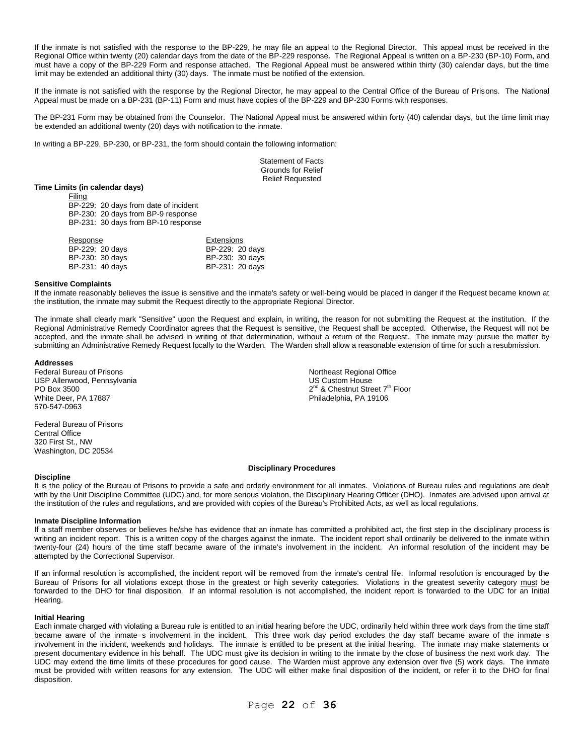If the inmate is not satisfied with the response to the BP-229, he may file an appeal to the Regional Director. This appeal must be received in the Regional Office within twenty (20) calendar days from the date of the BP-229 response. The Regional Appeal is written on a BP-230 (BP-10) Form, and must have a copy of the BP-229 Form and response attached. The Regional Appeal must be answered within thirty (30) calendar days, but the time limit may be extended an additional thirty (30) days. The inmate must be notified of the extension.

If the inmate is not satisfied with the response by the Regional Director, he may appeal to the Central Office of the Bureau of Prisons. The National Appeal must be made on a BP-231 (BP-11) Form and must have copies of the BP-229 and BP-230 Forms with responses.

The BP-231 Form may be obtained from the Counselor. The National Appeal must be answered within forty (40) calendar days, but the time limit may be extended an additional twenty (20) days with notification to the inmate.

In writing a BP-229, BP-230, or BP-231, the form should contain the following information:

Statement of Facts Grounds for Relief Relief Requested

# **Time Limits (in calendar days)**

Filing BP-229: 20 days from date of incident BP-230: 20 days from BP-9 response BP-231: 30 days from BP-10 response

| Response        | Extensions      |
|-----------------|-----------------|
| BP-229: 20 days | BP-229: 20 days |
| BP-230: 30 days | BP-230: 30 days |
| BP-231: 40 days | BP-231: 20 days |

#### **Sensitive Complaints**

If the inmate reasonably believes the issue is sensitive and the inmate's safety or well-being would be placed in danger if the Request became known at the institution, the inmate may submit the Request directly to the appropriate Regional Director.

The inmate shall clearly mark "Sensitive" upon the Request and explain, in writing, the reason for not submitting the Request at the institution. If the Regional Administrative Remedy Coordinator agrees that the Request is sensitive, the Request shall be accepted. Otherwise, the Request will not be accepted, and the inmate shall be advised in writing of that determination, without a return of the Request. The inmate may pursue the matter by submitting an Administrative Remedy Request locally to the Warden. The Warden shall allow a reasonable extension of time for such a resubmission.

#### **Addresses**

Federal Bureau of Prisons Northeast Regional Office USP Allenwood, Pennsylvania **US Custom House** US Custom House PO Box 3500<br>White Deer, PA 17887 570-547-0963

Federal Bureau of Prisons Central Office 320 First St., NW Washington, DC 20534

2<sup>nd</sup> & Chestnut Street 7<sup>th</sup> Floor Philadelphia, PA 19106

#### **Discipline**

It is the policy of the Bureau of Prisons to provide a safe and orderly environment for all inmates. Violations of Bureau rules and regulations are dealt with by the Unit Discipline Committee (UDC) and, for more serious violation, the Disciplinary Hearing Officer (DHO). Inmates are advised upon arrival at the institution of the rules and regulations, and are provided with copies of the Bureau's Prohibited Acts, as well as local regulations.

**Disciplinary Procedures**

#### **Inmate Discipline Information**

If a staff member observes or believes he/she has evidence that an inmate has committed a prohibited act, the first step in the disciplinary process is writing an incident report. This is a written copy of the charges against the inmate. The incident report shall ordinarily be delivered to the inmate within twenty-four (24) hours of the time staff became aware of the inmate's involvement in the incident. An informal resolution of the incident may be attempted by the Correctional Supervisor.

If an informal resolution is accomplished, the incident report will be removed from the inmate's central file. Informal resolution is encouraged by the Bureau of Prisons for all violations except those in the greatest or high severity categories. Violations in the greatest severity category must be forwarded to the DHO for final disposition. If an informal resolution is not accomplished, the incident report is forwarded to the UDC for an Initial Hearing.

# **Initial Hearing**

Each inmate charged with violating a Bureau rule is entitled to an initial hearing before the UDC, ordinarily held within three work days from the time staff became aware of the inmate=s involvement in the incident. This three work day period excludes the day staff became aware of the inmate=s involvement in the incident, weekends and holidays. The inmate is entitled to be present at the initial hearing. The inmate may make statements or present documentary evidence in his behalf. The UDC must give its decision in writing to the inmate by the close of business the next work day. The UDC may extend the time limits of these procedures for good cause. The Warden must approve any extension over five (5) work days. The inmate must be provided with written reasons for any extension. The UDC will either make final disposition of the incident, or refer it to the DHO for final disposition.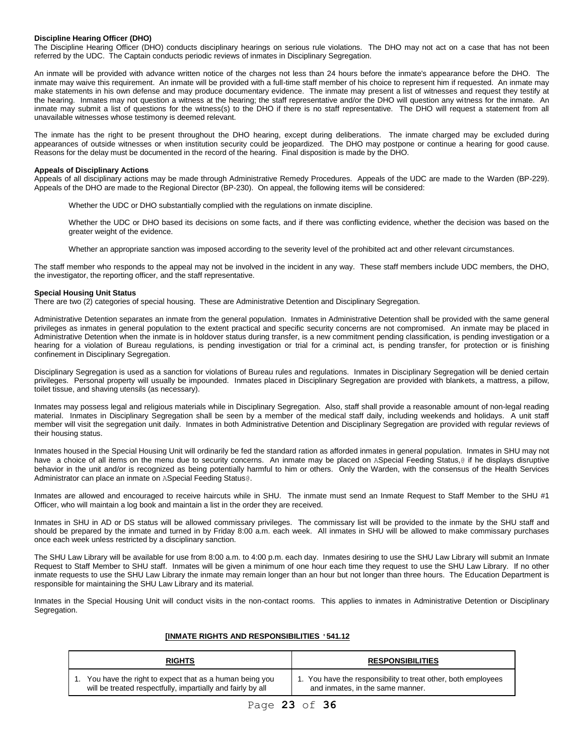#### **Discipline Hearing Officer (DHO)**

The Discipline Hearing Officer (DHO) conducts disciplinary hearings on serious rule violations. The DHO may not act on a case that has not been referred by the UDC. The Captain conducts periodic reviews of inmates in Disciplinary Segregation.

An inmate will be provided with advance written notice of the charges not less than 24 hours before the inmate's appearance before the DHO. The inmate may waive this requirement. An inmate will be provided with a full-time staff member of his choice to represent him if requested. An inmate may make statements in his own defense and may produce documentary evidence. The inmate may present a list of witnesses and request they testify at the hearing. Inmates may not question a witness at the hearing; the staff representative and/or the DHO will question any witness for the inmate. An inmate may submit a list of questions for the witness(s) to the DHO if there is no staff representative. The DHO will request a statement from all unavailable witnesses whose testimony is deemed relevant.

The inmate has the right to be present throughout the DHO hearing, except during deliberations. The inmate charged may be excluded during appearances of outside witnesses or when institution security could be jeopardized. The DHO may postpone or continue a hearing for good cause. Reasons for the delay must be documented in the record of the hearing. Final disposition is made by the DHO.

#### **Appeals of Disciplinary Actions**

Appeals of all disciplinary actions may be made through Administrative Remedy Procedures. Appeals of the UDC are made to the Warden (BP-229). Appeals of the DHO are made to the Regional Director (BP-230). On appeal, the following items will be considered:

Whether the UDC or DHO substantially complied with the regulations on inmate discipline.

Whether the UDC or DHO based its decisions on some facts, and if there was conflicting evidence, whether the decision was based on the greater weight of the evidence.

Whether an appropriate sanction was imposed according to the severity level of the prohibited act and other relevant circumstances.

The staff member who responds to the appeal may not be involved in the incident in any way. These staff members include UDC members, the DHO, the investigator, the reporting officer, and the staff representative.

# **Special Housing Unit Status**

There are two (2) categories of special housing. These are Administrative Detention and Disciplinary Segregation.

Administrative Detention separates an inmate from the general population. Inmates in Administrative Detention shall be provided with the same general privileges as inmates in general population to the extent practical and specific security concerns are not compromised. An inmate may be placed in Administrative Detention when the inmate is in holdover status during transfer, is a new commitment pending classification, is pending investigation or a hearing for a violation of Bureau regulations, is pending investigation or trial for a criminal act, is pending transfer, for protection or is finishing confinement in Disciplinary Segregation.

Disciplinary Segregation is used as a sanction for violations of Bureau rules and regulations. Inmates in Disciplinary Segregation will be denied certain privileges. Personal property will usually be impounded. Inmates placed in Disciplinary Segregation are provided with blankets, a mattress, a pillow, toilet tissue, and shaving utensils (as necessary).

Inmates may possess legal and religious materials while in Disciplinary Segregation. Also, staff shall provide a reasonable amount of non-legal reading material. Inmates in Disciplinary Segregation shall be seen by a member of the medical staff daily, including weekends and holidays. A unit staff member will visit the segregation unit daily. Inmates in both Administrative Detention and Disciplinary Segregation are provided with regular reviews of their housing status.

Inmates housed in the Special Housing Unit will ordinarily be fed the standard ration as afforded inmates in general population. Inmates in SHU may not have a choice of all items on the menu due to security concerns. An inmate may be placed on ASpecial Feeding Status,@ if he displays disruptive behavior in the unit and/or is recognized as being potentially harmful to him or others. Only the Warden, with the consensus of the Health Services Administrator can place an inmate on ASpecial Feeding Status@.

Inmates are allowed and encouraged to receive haircuts while in SHU. The inmate must send an Inmate Request to Staff Member to the SHU #1 Officer, who will maintain a log book and maintain a list in the order they are received.

Inmates in SHU in AD or DS status will be allowed commissary privileges. The commissary list will be provided to the inmate by the SHU staff and should be prepared by the inmate and turned in by Friday 8:00 a.m. each week. All inmates in SHU will be allowed to make commissary purchases once each week unless restricted by a disciplinary sanction.

The SHU Law Library will be available for use from 8:00 a.m. to 4:00 p.m. each day. Inmates desiring to use the SHU Law Library will submit an Inmate Request to Staff Member to SHU staff. Inmates will be given a minimum of one hour each time they request to use the SHU Law Library. If no other inmate requests to use the SHU Law Library the inmate may remain longer than an hour but not longer than three hours. The Education Department is responsible for maintaining the SHU Law Library and its material.

Inmates in the Special Housing Unit will conduct visits in the non-contact rooms. This applies to inmates in Administrative Detention or Disciplinary Segregation.

#### **[INMATE RIGHTS AND RESPONSIBILITIES '541.12**

| <b>RIGHTS</b>                                               | <b>RESPONSIBILITIES</b>                                       |  |
|-------------------------------------------------------------|---------------------------------------------------------------|--|
| You have the right to expect that as a human being you      | 1. You have the responsibility to treat other, both employees |  |
| will be treated respectfully, impartially and fairly by all | and inmates, in the same manner.                              |  |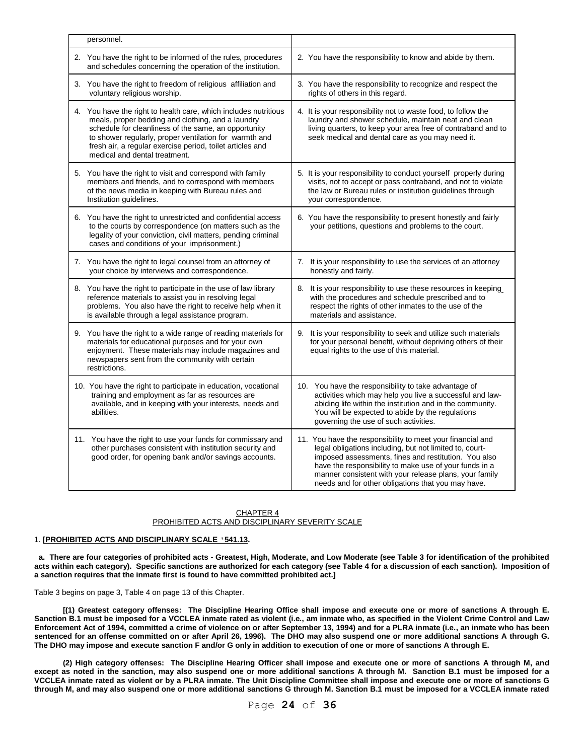| personnel.                                                                                                                                                                                                                                                                                                                           |                                                                                                                                                                                                                                                                                                                                                         |  |
|--------------------------------------------------------------------------------------------------------------------------------------------------------------------------------------------------------------------------------------------------------------------------------------------------------------------------------------|---------------------------------------------------------------------------------------------------------------------------------------------------------------------------------------------------------------------------------------------------------------------------------------------------------------------------------------------------------|--|
| 2. You have the right to be informed of the rules, procedures<br>and schedules concerning the operation of the institution.                                                                                                                                                                                                          | 2. You have the responsibility to know and abide by them.                                                                                                                                                                                                                                                                                               |  |
| 3. You have the right to freedom of religious affiliation and<br>voluntary religious worship.                                                                                                                                                                                                                                        | 3. You have the responsibility to recognize and respect the<br>rights of others in this regard.                                                                                                                                                                                                                                                         |  |
| 4. You have the right to health care, which includes nutritious<br>meals, proper bedding and clothing, and a laundry<br>schedule for cleanliness of the same, an opportunity<br>to shower regularly, proper ventilation for warmth and<br>fresh air, a regular exercise period, toilet articles and<br>medical and dental treatment. | 4. It is your responsibility not to waste food, to follow the<br>laundry and shower schedule, maintain neat and clean<br>living quarters, to keep your area free of contraband and to<br>seek medical and dental care as you may need it.                                                                                                               |  |
| 5. You have the right to visit and correspond with family<br>members and friends, and to correspond with members<br>of the news media in keeping with Bureau rules and<br>Institution guidelines.                                                                                                                                    | 5. It is your responsibility to conduct yourself properly during<br>visits, not to accept or pass contraband, and not to violate<br>the law or Bureau rules or institution guidelines through<br>your correspondence.                                                                                                                                   |  |
| 6. You have the right to unrestricted and confidential access<br>to the courts by correspondence (on matters such as the<br>legality of your conviction, civil matters, pending criminal<br>cases and conditions of your imprisonment.)                                                                                              | 6. You have the responsibility to present honestly and fairly<br>your petitions, questions and problems to the court.                                                                                                                                                                                                                                   |  |
| 7. You have the right to legal counsel from an attorney of<br>your choice by interviews and correspondence.                                                                                                                                                                                                                          | 7. It is your responsibility to use the services of an attorney<br>honestly and fairly.                                                                                                                                                                                                                                                                 |  |
| 8. You have the right to participate in the use of law library<br>reference materials to assist you in resolving legal<br>problems. You also have the right to receive help when it<br>is available through a legal assistance program.                                                                                              | 8. It is your responsibility to use these resources in keeping<br>with the procedures and schedule prescribed and to<br>respect the rights of other inmates to the use of the<br>materials and assistance.                                                                                                                                              |  |
| 9. You have the right to a wide range of reading materials for<br>materials for educational purposes and for your own<br>enjoyment. These materials may include magazines and<br>newspapers sent from the community with certain<br>restrictions.                                                                                    | 9. It is your responsibility to seek and utilize such materials<br>for your personal benefit, without depriving others of their<br>equal rights to the use of this material.                                                                                                                                                                            |  |
| 10. You have the right to participate in education, vocational<br>training and employment as far as resources are<br>available, and in keeping with your interests, needs and<br>abilities.                                                                                                                                          | 10. You have the responsibility to take advantage of<br>activities which may help you live a successful and law-<br>abiding life within the institution and in the community.<br>You will be expected to abide by the regulations<br>governing the use of such activities.                                                                              |  |
| 11. You have the right to use your funds for commissary and<br>other purchases consistent with institution security and<br>good order, for opening bank and/or savings accounts.                                                                                                                                                     | 11. You have the responsibility to meet your financial and<br>legal obligations including, but not limited to, court-<br>imposed assessments, fines and restitution. You also<br>have the responsibility to make use of your funds in a<br>manner consistent with your release plans, your family<br>needs and for other obligations that you may have. |  |

# CHAPTER 4

# PROHIBITED ACTS AND DISCIPLINARY SEVERITY SCALE

# 1. **[PROHIBITED ACTS AND DISCIPLINARY SCALE '541.13.**

 **a. There are four categories of prohibited acts - Greatest, High, Moderate, and Low Moderate (see Table 3 for identification of the prohibited**  acts within each category). Specific sanctions are authorized for each category (see Table 4 for a discussion of each sanction). Imposition of **a sanction requires that the inmate first is found to have committed prohibited act.]**

Table 3 begins on page 3, Table 4 on page 13 of this Chapter.

**[(1) Greatest category offenses: The Discipline Hearing Office shall impose and execute one or more of sanctions A through E. Sanction B.1 must be imposed for a VCCLEA inmate rated as violent (i.e., am inmate who, as specified in the Violent Crime Control and Law Enforcement Act of 1994, committed a crime of violence on or after September 13, 1994) and for a PLRA inmate (i.e., an inmate who has been sentenced for an offense committed on or after April 26, 1996). The DHO may also suspend one or more additional sanctions A through G. The DHO may impose and execute sanction F and/or G only in addition to execution of one or more of sanctions A through E.**

**(2) High category offenses: The Discipline Hearing Officer shall impose and execute one or more of sanctions A through M, and except as noted in the sanction, may also suspend one or more additional sanctions A through M. Sanction B.1 must be imposed for a VCCLEA inmate rated as violent or by a PLRA inmate. The Unit Discipline Committee shall impose and execute one or more of sanctions G through M, and may also suspend one or more additional sanctions G through M. Sanction B.1 must be imposed for a VCCLEA inmate rated** 

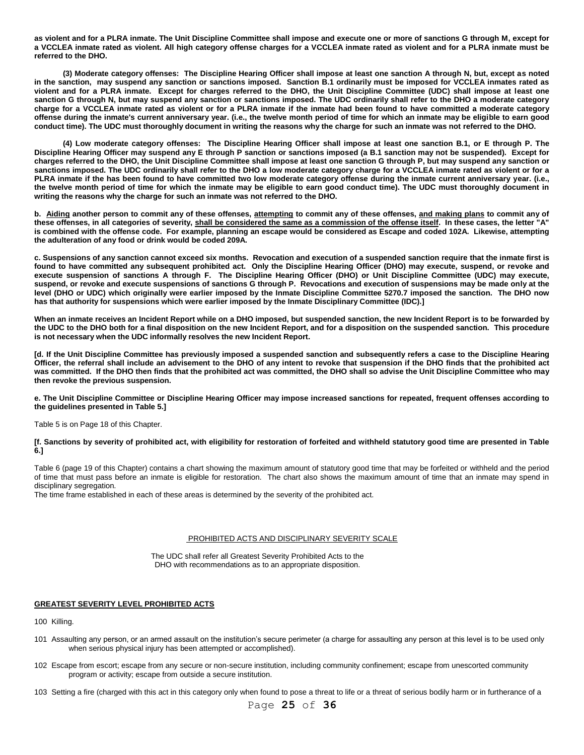**as violent and for a PLRA inmate. The Unit Discipline Committee shall impose and execute one or more of sanctions G through M, except for a VCCLEA inmate rated as violent. All high category offense charges for a VCCLEA inmate rated as violent and for a PLRA inmate must be referred to the DHO.**

**(3) Moderate category offenses: The Discipline Hearing Officer shall impose at least one sanction A through N, but, except as noted in the sanction, may suspend any sanction or sanctions imposed. Sanction B.1 ordinarily must be imposed for VCCLEA inmates rated as violent and for a PLRA inmate. Except for charges referred to the DHO, the Unit Discipline Committee (UDC) shall impose at least one sanction G through N, but may suspend any sanction or sanctions imposed. The UDC ordinarily shall refer to the DHO a moderate category charge for a VCCLEA inmate rated as violent or for a PLRA inmate if the inmate had been found to have committed a moderate category offense during the inmate's current anniversary year. (i.e., the twelve month period of time for which an inmate may be eligible to earn good conduct time). The UDC must thoroughly document in writing the reasons why the charge for such an inmate was not referred to the DHO.** 

**(4) Low moderate category offenses: The Discipline Hearing Officer shall impose at least one sanction B.1, or E through P. The Discipline Hearing Officer may suspend any E through P sanction or sanctions imposed (a B.1 sanction may not be suspended). Except for charges referred to the DHO, the Unit Discipline Committee shall impose at least one sanction G through P, but may suspend any sanction or sanctions imposed. The UDC ordinarily shall refer to the DHO a low moderate category charge for a VCCLEA inmate rated as violent or for a PLRA inmate if the has been found to have committed two low moderate category offense during the inmate current anniversary year. (i.e., the twelve month period of time for which the inmate may be eligible to earn good conduct time). The UDC must thoroughly document in writing the reasons why the charge for such an inmate was not referred to the DHO.**

**b. Aiding another person to commit any of these offenses, attempting to commit any of these offenses, and making plans to commit any of these offenses, in all categories of severity, shall be considered the same as a commission of the offense itself. In these cases, the letter "A" is combined with the offense code. For example, planning an escape would be considered as Escape and coded 102A. Likewise, attempting the adulteration of any food or drink would be coded 209A.**

**c. Suspensions of any sanction cannot exceed six months. Revocation and execution of a suspended sanction require that the inmate first is found to have committed any subsequent prohibited act. Only the Discipline Hearing Officer (DHO) may execute, suspend, or revoke and execute suspension of sanctions A through F. The Discipline Hearing Officer (DHO) or Unit Discipline Committee (UDC) may execute, suspend, or revoke and execute suspensions of sanctions G through P. Revocations and execution of suspensions may be made only at the level (DHO or UDC) which originally were earlier imposed by the Inmate Discipline Committee 5270.7 imposed the sanction. The DHO now has that authority for suspensions which were earlier imposed by the Inmate Disciplinary Committee (IDC).]**

**When an inmate receives an Incident Report while on a DHO imposed, but suspended sanction, the new Incident Report is to be forwarded by the UDC to the DHO both for a final disposition on the new Incident Report, and for a disposition on the suspended sanction. This procedure is not necessary when the UDC informally resolves the new Incident Report.**

**[d. If the Unit Discipline Committee has previously imposed a suspended sanction and subsequently refers a case to the Discipline Hearing Officer, the referral shall include an advisement to the DHO of any intent to revoke that suspension if the DHO finds that the prohibited act was committed. If the DHO then finds that the prohibited act was committed, the DHO shall so advise the Unit Discipline Committee who may then revoke the previous suspension.**

**e. The Unit Discipline Committee or Discipline Hearing Officer may impose increased sanctions for repeated, frequent offenses according to the guidelines presented in Table 5.]**

Table 5 is on Page 18 of this Chapter.

**[f. Sanctions by severity of prohibited act, with eligibility for restoration of forfeited and withheld statutory good time are presented in Table 6.]**

Table 6 (page 19 of this Chapter) contains a chart showing the maximum amount of statutory good time that may be forfeited or withheld and the period of time that must pass before an inmate is eligible for restoration. The chart also shows the maximum amount of time that an inmate may spend in disciplinary segregation.

The time frame established in each of these areas is determined by the severity of the prohibited act.

#### PROHIBITED ACTS AND DISCIPLINARY SEVERITY SCALE

The UDC shall refer all Greatest Severity Prohibited Acts to the DHO with recommendations as to an appropriate disposition.

#### **GREATEST SEVERITY LEVEL PROHIBITED ACTS**

100 Killing.

- 101 Assaulting any person, or an armed assault on the institution's secure perimeter (a charge for assaulting any person at this level is to be used only when serious physical injury has been attempted or accomplished).
- 102 Escape from escort; escape from any secure or non-secure institution, including community confinement; escape from unescorted community program or activity; escape from outside a secure institution.
- 103 Setting a fire (charged with this act in this category only when found to pose a threat to life or a threat of serious bodily harm or in furtherance of a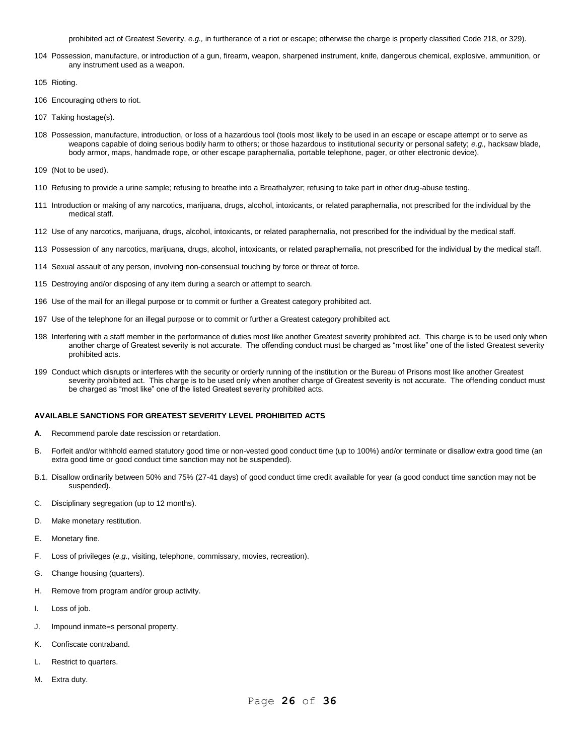prohibited act of Greatest Severity, *e.g.,* in furtherance of a riot or escape; otherwise the charge is properly classified Code 218, or 329).

- 104 Possession, manufacture, or introduction of a gun, firearm, weapon, sharpened instrument, knife, dangerous chemical, explosive, ammunition, or any instrument used as a weapon.
- 105 Rioting.
- 106 Encouraging others to riot.
- 107 Taking hostage(s).
- 108 Possession, manufacture, introduction, or loss of a hazardous tool (tools most likely to be used in an escape or escape attempt or to serve as weapons capable of doing serious bodily harm to others; or those hazardous to institutional security or personal safety; *e.g.,* hacksaw blade, body armor, maps, handmade rope, or other escape paraphernalia, portable telephone, pager, or other electronic device).
- 109 (Not to be used).
- 110 Refusing to provide a urine sample; refusing to breathe into a Breathalyzer; refusing to take part in other drug-abuse testing.
- 111 Introduction or making of any narcotics, marijuana, drugs, alcohol, intoxicants, or related paraphernalia, not prescribed for the individual by the medical staff.
- 112 Use of any narcotics, marijuana, drugs, alcohol, intoxicants, or related paraphernalia, not prescribed for the individual by the medical staff.
- 113 Possession of any narcotics, marijuana, drugs, alcohol, intoxicants, or related paraphernalia, not prescribed for the individual by the medical staff.
- 114 Sexual assault of any person, involving non-consensual touching by force or threat of force.
- 115 Destroying and/or disposing of any item during a search or attempt to search.
- 196 Use of the mail for an illegal purpose or to commit or further a Greatest category prohibited act.
- 197 Use of the telephone for an illegal purpose or to commit or further a Greatest category prohibited act.
- 198 Interfering with a staff member in the performance of duties most like another Greatest severity prohibited act. This charge is to be used only when another charge of Greatest severity is not accurate. The offending conduct must be charged as "most like" one of the listed Greatest severity prohibited acts.
- 199 Conduct which disrupts or interferes with the security or orderly running of the institution or the Bureau of Prisons most like another Greatest severity prohibited act. This charge is to be used only when another charge of Greatest severity is not accurate. The offending conduct must be charged as "most like" one of the listed Greatest severity prohibited acts.

# **AVAILABLE SANCTIONS FOR GREATEST SEVERITY LEVEL PROHIBITED ACTS**

- **A**. Recommend parole date rescission or retardation.
- B. Forfeit and/or withhold earned statutory good time or non-vested good conduct time (up to 100%) and/or terminate or disallow extra good time (an extra good time or good conduct time sanction may not be suspended).
- B.1. Disallow ordinarily between 50% and 75% (27-41 days) of good conduct time credit available for year (a good conduct time sanction may not be suspended).
- C. Disciplinary segregation (up to 12 months).
- D. Make monetary restitution.
- E. Monetary fine.
- F. Loss of privileges (*e.g.,* visiting, telephone, commissary, movies, recreation).
- G. Change housing (quarters).
- H. Remove from program and/or group activity.
- I. Loss of job.
- J. Impound inmate=s personal property.
- K. Confiscate contraband.
- L. Restrict to quarters.
- M. Extra duty.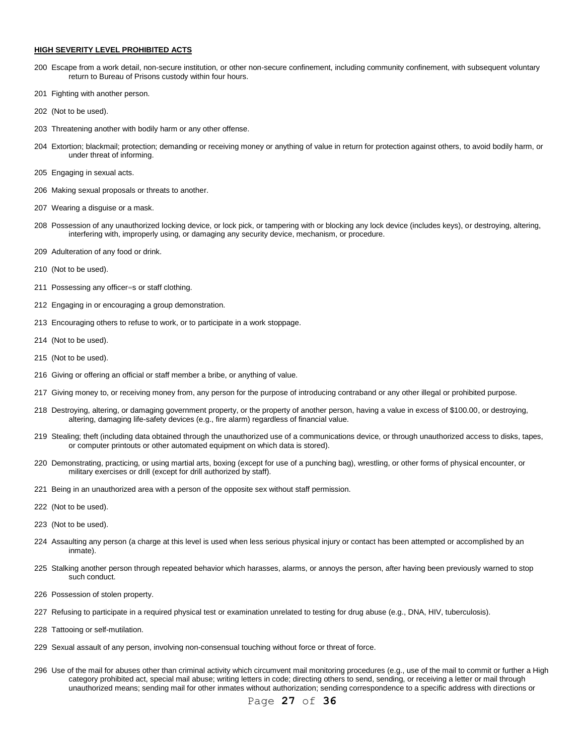#### **HIGH SEVERITY LEVEL PROHIBITED ACTS**

- Escape from a work detail, non-secure institution, or other non-secure confinement, including community confinement, with subsequent voluntary return to Bureau of Prisons custody within four hours.
- Fighting with another person.
- (Not to be used).
- Threatening another with bodily harm or any other offense.
- Extortion; blackmail; protection; demanding or receiving money or anything of value in return for protection against others, to avoid bodily harm, or under threat of informing.
- Engaging in sexual acts.
- Making sexual proposals or threats to another.
- Wearing a disguise or a mask.
- Possession of any unauthorized locking device, or lock pick, or tampering with or blocking any lock device (includes keys), or destroying, altering, interfering with, improperly using, or damaging any security device, mechanism, or procedure.
- Adulteration of any food or drink.
- (Not to be used).
- Possessing any officer=s or staff clothing.
- Engaging in or encouraging a group demonstration.
- Encouraging others to refuse to work, or to participate in a work stoppage.
- (Not to be used).
- (Not to be used).
- Giving or offering an official or staff member a bribe, or anything of value.
- Giving money to, or receiving money from, any person for the purpose of introducing contraband or any other illegal or prohibited purpose.
- Destroying, altering, or damaging government property, or the property of another person, having a value in excess of \$100.00, or destroying, altering, damaging life-safety devices (e.g., fire alarm) regardless of financial value.
- Stealing; theft (including data obtained through the unauthorized use of a communications device, or through unauthorized access to disks, tapes, or computer printouts or other automated equipment on which data is stored).
- Demonstrating, practicing, or using martial arts, boxing (except for use of a punching bag), wrestling, or other forms of physical encounter, or military exercises or drill (except for drill authorized by staff).
- Being in an unauthorized area with a person of the opposite sex without staff permission.
- (Not to be used).
- (Not to be used).
- Assaulting any person (a charge at this level is used when less serious physical injury or contact has been attempted or accomplished by an inmate).
- Stalking another person through repeated behavior which harasses, alarms, or annoys the person, after having been previously warned to stop such conduct.
- Possession of stolen property.
- Refusing to participate in a required physical test or examination unrelated to testing for drug abuse (e.g., DNA, HIV, tuberculosis).
- Tattooing or self-mutilation.
- 229 Sexual assault of any person, involving non-consensual touching without force or threat of force.
- 296 Use of the mail for abuses other than criminal activity which circumvent mail monitoring procedures (e.g., use of the mail to commit or further a High category prohibited act, special mail abuse; writing letters in code; directing others to send, sending, or receiving a letter or mail through unauthorized means; sending mail for other inmates without authorization; sending correspondence to a specific address with directions or

# Page **27** of **36**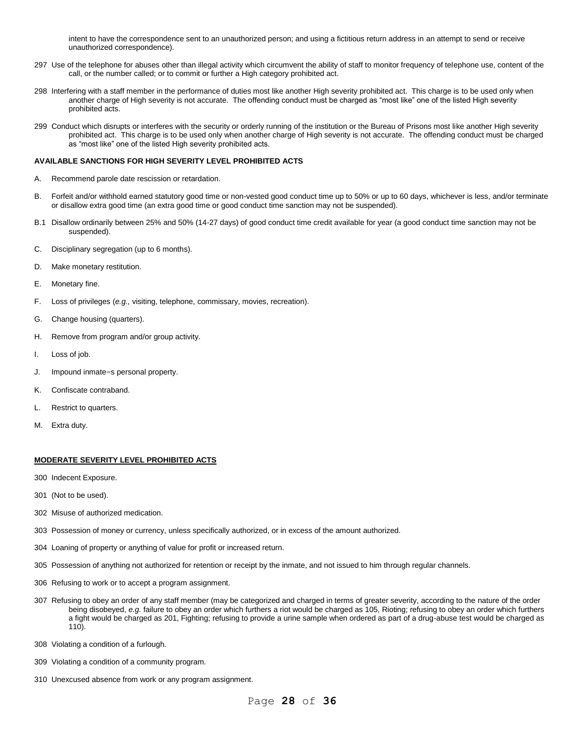intent to have the correspondence sent to an unauthorized person; and using a fictitious return address in an attempt to send or receive unauthorized correspondence).

- 297 Use of the telephone for abuses other than illegal activity which circumvent the ability of staff to monitor frequency of telephone use, content of the call, or the number called; or to commit or further a High category prohibited act.
- 298 Interfering with a staff member in the performance of duties most like another High severity prohibited act. This charge is to be used only when another charge of High severity is not accurate. The offending conduct must be charged as "most like" one of the listed High severity prohibited acts.
- 299 Conduct which disrupts or interferes with the security or orderly running of the institution or the Bureau of Prisons most like another High severity prohibited act. This charge is to be used only when another charge of High severity is not accurate. The offending conduct must be charged as "most like" one of the listed High severity prohibited acts.

## **AVAILABLE SANCTIONS FOR HIGH SEVERITY LEVEL PROHIBITED ACTS**

- A. Recommend parole date rescission or retardation.
- B. Forfeit and/or withhold earned statutory good time or non-vested good conduct time up to 50% or up to 60 days, whichever is less, and/or terminate or disallow extra good time (an extra good time or good conduct time sanction may not be suspended).
- B.1 Disallow ordinarily between 25% and 50% (14-27 days) of good conduct time credit available for year (a good conduct time sanction may not be suspended).
- C. Disciplinary segregation (up to 6 months).
- D. Make monetary restitution.
- E. Monetary fine.
- F. Loss of privileges (*e.g.,* visiting, telephone, commissary, movies, recreation).
- G. Change housing (quarters).
- H. Remove from program and/or group activity.
- I. Loss of job.
- J. Impound inmate=s personal property.
- K. Confiscate contraband.
- L. Restrict to quarters.
- M. Extra duty.

# **MODERATE SEVERITY LEVEL PROHIBITED ACTS**

- 300 Indecent Exposure.
- 301 (Not to be used).
- 302 Misuse of authorized medication.
- 303 Possession of money or currency, unless specifically authorized, or in excess of the amount authorized.
- 304 Loaning of property or anything of value for profit or increased return.
- 305 Possession of anything not authorized for retention or receipt by the inmate, and not issued to him through regular channels.
- 306 Refusing to work or to accept a program assignment.
- 307 Refusing to obey an order of any staff member (may be categorized and charged in terms of greater severity, according to the nature of the order being disobeyed, *e.g.* failure to obey an order which furthers a riot would be charged as 105, Rioting; refusing to obey an order which furthers a fight would be charged as 201, Fighting; refusing to provide a urine sample when ordered as part of a drug-abuse test would be charged as 110).
- 308 Violating a condition of a furlough.
- 309 Violating a condition of a community program.
- 310 Unexcused absence from work or any program assignment.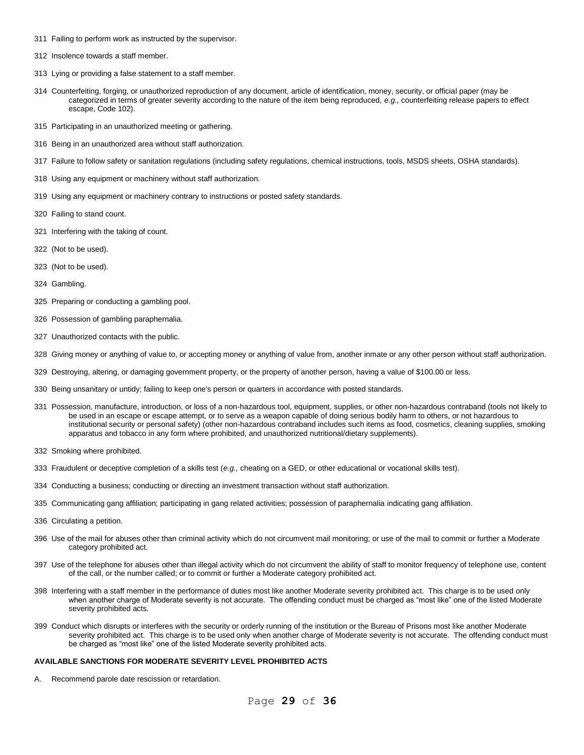- Failing to perform work as instructed by the supervisor.
- Insolence towards a staff member.
- Lying or providing a false statement to a staff member.
- Counterfeiting, forging, or unauthorized reproduction of any document, article of identification, money, security, or official paper (may be categorized in terms of greater severity according to the nature of the item being reproduced, *e.g.,* counterfeiting release papers to effect escape, Code 102).
- Participating in an unauthorized meeting or gathering.
- Being in an unauthorized area without staff authorization.
- Failure to follow safety or sanitation regulations (including safety regulations, chemical instructions, tools, MSDS sheets, OSHA standards).
- Using any equipment or machinery without staff authorization.
- Using any equipment or machinery contrary to instructions or posted safety standards.
- Failing to stand count.
- Interfering with the taking of count.
- (Not to be used).
- (Not to be used).
- Gambling.
- Preparing or conducting a gambling pool.
- Possession of gambling paraphernalia.
- Unauthorized contacts with the public.
- Giving money or anything of value to, or accepting money or anything of value from, another inmate or any other person without staff authorization.
- Destroying, altering, or damaging government property, or the property of another person, having a value of \$100.00 or less.
- Being unsanitary or untidy; failing to keep one's person or quarters in accordance with posted standards.
- Possession, manufacture, introduction, or loss of a non-hazardous tool, equipment, supplies, or other non-hazardous contraband (tools not likely to be used in an escape or escape attempt, or to serve as a weapon capable of doing serious bodily harm to others, or not hazardous to institutional security or personal safety) (other non-hazardous contraband includes such items as food, cosmetics, cleaning supplies, smoking apparatus and tobacco in any form where prohibited, and unauthorized nutritional/dietary supplements).
- Smoking where prohibited.
- Fraudulent or deceptive completion of a skills test (*e.g.,* cheating on a GED, or other educational or vocational skills test).
- Conducting a business; conducting or directing an investment transaction without staff authorization.
- Communicating gang affiliation; participating in gang related activities; possession of paraphernalia indicating gang affiliation.
- 336 Circulating a petition.
- Use of the mail for abuses other than criminal activity which do not circumvent mail monitoring; or use of the mail to commit or further a Moderate category prohibited act.
- Use of the telephone for abuses other than illegal activity which do not circumvent the ability of staff to monitor frequency of telephone use, content of the call, or the number called; or to commit or further a Moderate category prohibited act.
- Interfering with a staff member in the performance of duties most like another Moderate severity prohibited act. This charge is to be used only when another charge of Moderate severity is not accurate. The offending conduct must be charged as "most like" one of the listed Moderate severity prohibited acts.
- Conduct which disrupts or interferes with the security or orderly running of the institution or the Bureau of Prisons most like another Moderate severity prohibited act. This charge is to be used only when another charge of Moderate severity is not accurate. The offending conduct must be charged as "most like" one of the listed Moderate severity prohibited acts.

#### **AVAILABLE SANCTIONS FOR MODERATE SEVERITY LEVEL PROHIBITED ACTS**

A. Recommend parole date rescission or retardation.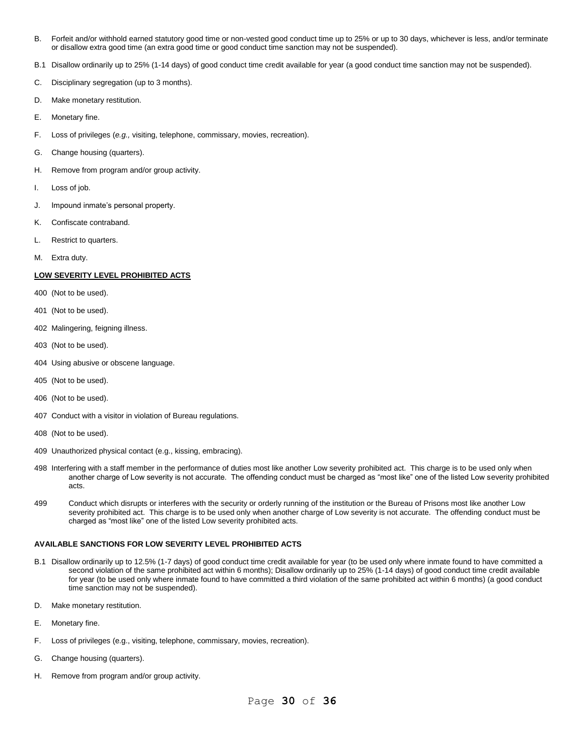- B. Forfeit and/or withhold earned statutory good time or non-vested good conduct time up to 25% or up to 30 days, whichever is less, and/or terminate or disallow extra good time (an extra good time or good conduct time sanction may not be suspended).
- B.1 Disallow ordinarily up to 25% (1-14 days) of good conduct time credit available for year (a good conduct time sanction may not be suspended).
- C. Disciplinary segregation (up to 3 months).
- D. Make monetary restitution.
- E. Monetary fine.
- F. Loss of privileges (*e.g.,* visiting, telephone, commissary, movies, recreation).
- G. Change housing (quarters).
- H. Remove from program and/or group activity.
- I. Loss of job.
- J. Impound inmate's personal property.
- K. Confiscate contraband.
- L. Restrict to quarters.
- M. Extra duty.

# **LOW SEVERITY LEVEL PROHIBITED ACTS**

- 400 (Not to be used).
- 401 (Not to be used).
- 402 Malingering, feigning illness.
- 403 (Not to be used).
- 404 Using abusive or obscene language.
- 405 (Not to be used).
- 406 (Not to be used).
- 407 Conduct with a visitor in violation of Bureau regulations.
- 408 (Not to be used).
- 409 Unauthorized physical contact (e.g., kissing, embracing).
- 498 Interfering with a staff member in the performance of duties most like another Low severity prohibited act. This charge is to be used only when another charge of Low severity is not accurate. The offending conduct must be charged as "most like" one of the listed Low severity prohibited acts.
- 499 Conduct which disrupts or interferes with the security or orderly running of the institution or the Bureau of Prisons most like another Low severity prohibited act. This charge is to be used only when another charge of Low severity is not accurate. The offending conduct must be charged as "most like" one of the listed Low severity prohibited acts.

# **AVAILABLE SANCTIONS FOR LOW SEVERITY LEVEL PROHIBITED ACTS**

- B.1 Disallow ordinarily up to 12.5% (1-7 days) of good conduct time credit available for year (to be used only where inmate found to have committed a second violation of the same prohibited act within 6 months); Disallow ordinarily up to 25% (1-14 days) of good conduct time credit available for year (to be used only where inmate found to have committed a third violation of the same prohibited act within 6 months) (a good conduct time sanction may not be suspended).
- D. Make monetary restitution.
- E. Monetary fine.
- F. Loss of privileges (e.g., visiting, telephone, commissary, movies, recreation).
- G. Change housing (quarters).
- H. Remove from program and/or group activity.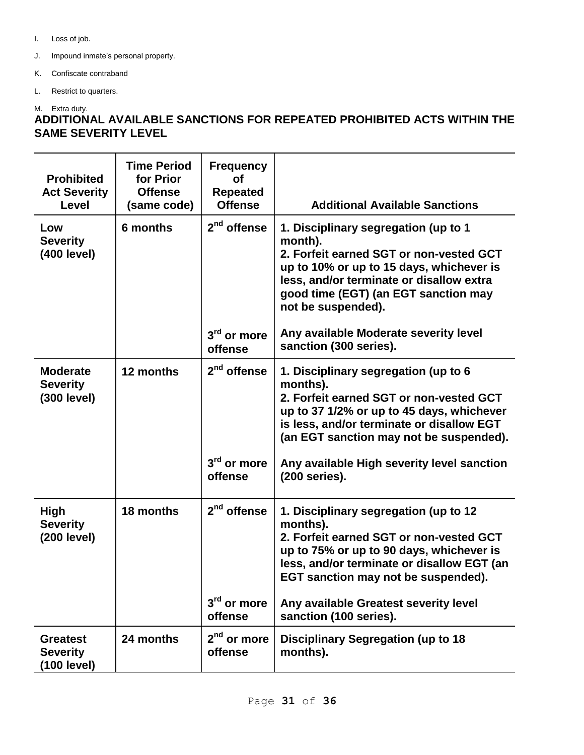- I. Loss of job.
- J. Impound inmate's personal property.
- K. Confiscate contraband
- L. Restrict to quarters.

# M. Extra duty.

# **ADDITIONAL AVAILABLE SANCTIONS FOR REPEATED PROHIBITED ACTS WITHIN THE SAME SEVERITY LEVEL**

| <b>Prohibited</b><br><b>Act Severity</b><br><b>Level</b> | <b>Time Period</b><br>for Prior<br><b>Offense</b><br>(same code) | <b>Frequency</b><br><b>of</b><br><b>Repeated</b><br><b>Offense</b> | <b>Additional Available Sanctions</b>                                                                                                                                                                                                                                                           |  |
|----------------------------------------------------------|------------------------------------------------------------------|--------------------------------------------------------------------|-------------------------------------------------------------------------------------------------------------------------------------------------------------------------------------------------------------------------------------------------------------------------------------------------|--|
| Low<br><b>Severity</b><br>(400 level)                    | 6 months                                                         | 2 <sup>nd</sup> offense                                            | 1. Disciplinary segregation (up to 1<br>month).<br>2. Forfeit earned SGT or non-vested GCT<br>up to 10% or up to 15 days, whichever is<br>less, and/or terminate or disallow extra<br>good time (EGT) (an EGT sanction may<br>not be suspended).                                                |  |
|                                                          |                                                                  | 3 <sup>rd</sup> or more<br>offense                                 | Any available Moderate severity level<br>sanction (300 series).                                                                                                                                                                                                                                 |  |
| <b>Moderate</b><br><b>Severity</b><br>(300 level)        | 12 months                                                        | $2nd$ offense<br>$3rd$ or more<br>offense                          | 1. Disciplinary segregation (up to 6<br>months).<br>2. Forfeit earned SGT or non-vested GCT<br>up to 37 1/2% or up to 45 days, whichever<br>is less, and/or terminate or disallow EGT<br>(an EGT sanction may not be suspended).<br>Any available High severity level sanction<br>(200 series). |  |
| <b>High</b><br><b>Severity</b><br>(200 level)            | 18 months                                                        | 2 <sup>nd</sup> offense<br>3 <sup>rd</sup> or more                 | 1. Disciplinary segregation (up to 12<br>months).<br>2. Forfeit earned SGT or non-vested GCT<br>up to 75% or up to 90 days, whichever is<br>less, and/or terminate or disallow EGT (an<br>EGT sanction may not be suspended).<br>Any available Greatest severity level                          |  |
|                                                          |                                                                  | offense                                                            | sanction (100 series).                                                                                                                                                                                                                                                                          |  |
| <b>Greatest</b><br><b>Severity</b><br>(100 level)        | 24 months                                                        | 2 <sup>nd</sup> or more<br>offense                                 | <b>Disciplinary Segregation (up to 18</b><br>months).                                                                                                                                                                                                                                           |  |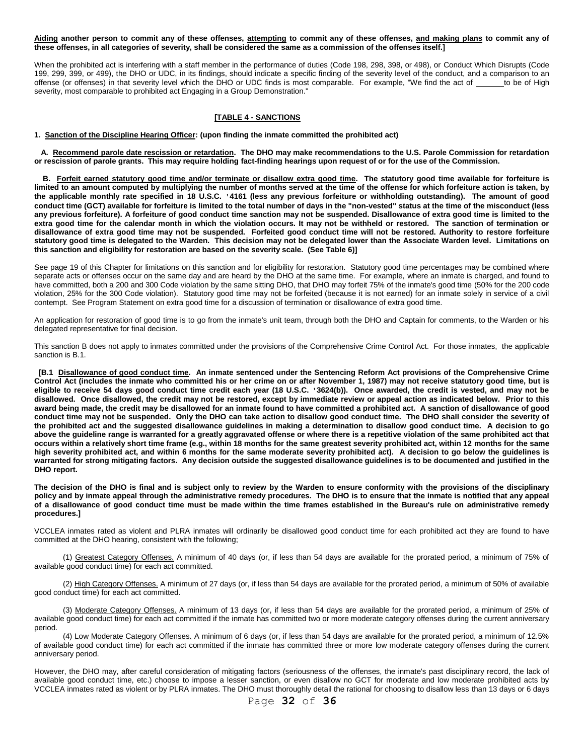**Aiding another person to commit any of these offenses, attempting to commit any of these offenses, and making plans to commit any of these offenses, in all categories of severity, shall be considered the same as a commission of the offenses itself.]**

When the prohibited act is interfering with a staff member in the performance of duties (Code 198, 298, 398, or 498), or Conduct Which Disrupts (Code 199, 299, 399, or 499), the DHO or UDC, in its findings, should indicate a specific finding of the severity level of the conduct, and a comparison to an offense (or offenses) in that severity level which the DHO or UDC finds is most comparable. For example, "We find the act of to be of High severity, most comparable to prohibited act Engaging in a Group Demonstration."

# **[TABLE 4 - SANCTIONS**

**1. Sanction of the Discipline Hearing Officer: (upon finding the inmate committed the prohibited act)**

 **A. Recommend parole date rescission or retardation. The DHO may make recommendations to the U.S. Parole Commission for retardation or rescission of parole grants. This may require holding fact-finding hearings upon request of or for the use of the Commission.**

 **B. Forfeit earned statutory good time and/or terminate or disallow extra good time. The statutory good time available for forfeiture is limited to an amount computed by multiplying the number of months served at the time of the offense for which forfeiture action is taken, by the applicable monthly rate specified in 18 U.S.C. '4161 (less any previous forfeiture or withholding outstanding). The amount of good conduct time (GCT) available for forfeiture is limited to the total number of days in the "non-vested" status at the time of the misconduct (less any previous forfeiture). A forfeiture of good conduct time sanction may not be suspended. Disallowance of extra good time is limited to the extra good time for the calendar month in which the violation occurs. It may not be withheld or restored. The sanction of termination or disallowance of extra good time may not be suspended. Forfeited good conduct time will not be restored. Authority to restore forfeiture statutory good time is delegated to the Warden. This decision may not be delegated lower than the Associate Warden level. Limitations on this sanction and eligibility for restoration are based on the severity scale. (See Table 6)]**

See page 19 of this Chapter for limitations on this sanction and for eligibility for restoration. Statutory good time percentages may be combined where separate acts or offenses occur on the same day and are heard by the DHO at the same time. For example, where an inmate is charged, and found to have committed, both a 200 and 300 Code violation by the same sitting DHO, that DHO may forfeit 75% of the inmate's good time (50% for the 200 code violation, 25% for the 300 Code violation). Statutory good time may not be forfeited (because it is not earned) for an inmate solely in service of a civil contempt. See Program Statement on extra good time for a discussion of termination or disallowance of extra good time.

An application for restoration of good time is to go from the inmate's unit team, through both the DHO and Captain for comments, to the Warden or his delegated representative for final decision.

This sanction B does not apply to inmates committed under the provisions of the Comprehensive Crime Control Act. For those inmates, the applicable sanction is B.1.

 **[B.1 Disallowance of good conduct time. An inmate sentenced under the Sentencing Reform Act provisions of the Comprehensive Crime Control Act (includes the inmate who committed his or her crime on or after November 1, 1987) may not receive statutory good time, but is eligible to receive 54 days good conduct time credit each year (18 U.S.C. '3624(b)). Once awarded, the credit is vested, and may not be disallowed. Once disallowed, the credit may not be restored, except by immediate review or appeal action as indicated below. Prior to this award being made, the credit may be disallowed for an inmate found to have committed a prohibited act. A sanction of disallowance of good conduct time may not be suspended. Only the DHO can take action to disallow good conduct time. The DHO shall consider the severity of the prohibited act and the suggested disallowance guidelines in making a determination to disallow good conduct time. A decision to go above the guideline range is warranted for a greatly aggravated offense or where there is a repetitive violation of the same prohibited act that occurs within a relatively short time frame (e.g., within 18 months for the same greatest severity prohibited act, within 12 months for the same high severity prohibited act, and within 6 months for the same moderate severity prohibited act). A decision to go below the guidelines is warranted for strong mitigating factors. Any decision outside the suggested disallowance guidelines is to be documented and justified in the DHO report.**

**The decision of the DHO is final and is subject only to review by the Warden to ensure conformity with the provisions of the disciplinary policy and by inmate appeal through the administrative remedy procedures. The DHO is to ensure that the inmate is notified that any appeal of a disallowance of good conduct time must be made within the time frames established in the Bureau's rule on administrative remedy procedures.]**

VCCLEA inmates rated as violent and PLRA inmates will ordinarily be disallowed good conduct time for each prohibited act they are found to have committed at the DHO hearing, consistent with the following;

(1) Greatest Category Offenses. A minimum of 40 days (or, if less than 54 days are available for the prorated period, a minimum of 75% of available good conduct time) for each act committed.

(2) High Category Offenses. A minimum of 27 days (or, if less than 54 days are available for the prorated period, a minimum of 50% of available good conduct time) for each act committed.

(3) Moderate Category Offenses. A minimum of 13 days (or, if less than 54 days are available for the prorated period, a minimum of 25% of available good conduct time) for each act committed if the inmate has committed two or more moderate category offenses during the current anniversary period.

(4) Low Moderate Category Offenses. A minimum of 6 days (or, if less than 54 days are available for the prorated period, a minimum of 12.5% of available good conduct time) for each act committed if the inmate has committed three or more low moderate category offenses during the current anniversary period.

However, the DHO may, after careful consideration of mitigating factors (seriousness of the offenses, the inmate's past disciplinary record, the lack of available good conduct time, etc.) choose to impose a lesser sanction, or even disallow no GCT for moderate and low moderate prohibited acts by VCCLEA inmates rated as violent or by PLRA inmates. The DHO must thoroughly detail the rational for choosing to disallow less than 13 days or 6 days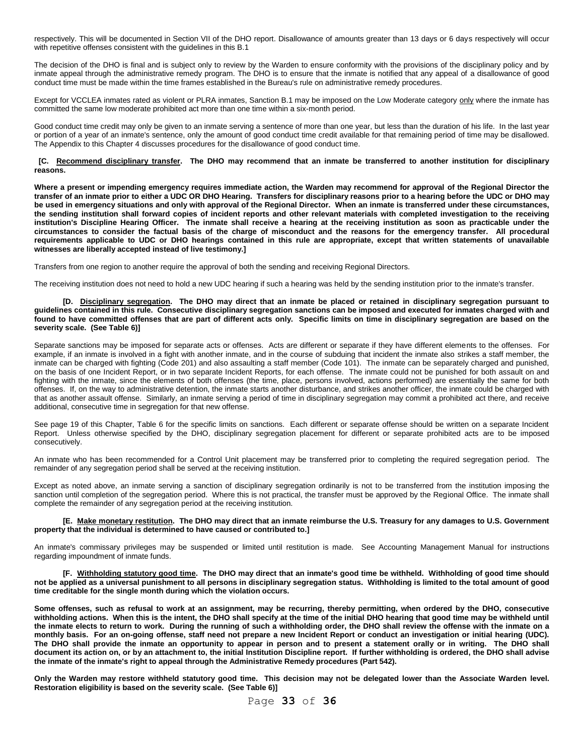respectively. This will be documented in Section VII of the DHO report. Disallowance of amounts greater than 13 days or 6 days respectively will occur with repetitive offenses consistent with the guidelines in this B.1

The decision of the DHO is final and is subject only to review by the Warden to ensure conformity with the provisions of the disciplinary policy and by inmate appeal through the administrative remedy program. The DHO is to ensure that the inmate is notified that any appeal of a disallowance of good conduct time must be made within the time frames established in the Bureau's rule on administrative remedy procedures.

Except for VCCLEA inmates rated as violent or PLRA inmates, Sanction B.1 may be imposed on the Low Moderate category only where the inmate has committed the same low moderate prohibited act more than one time within a six-month period.

Good conduct time credit may only be given to an inmate serving a sentence of more than one year, but less than the duration of his life. In the last year or portion of a year of an inmate's sentence, only the amount of good conduct time credit available for that remaining period of time may be disallowed. The Appendix to this Chapter 4 discusses procedures for the disallowance of good conduct time.

#### **[C. Recommend disciplinary transfer. The DHO may recommend that an inmate be transferred to another institution for disciplinary reasons.**

**Where a present or impending emergency requires immediate action, the Warden may recommend for approval of the Regional Director the transfer of an inmate prior to either a UDC OR DHO Hearing. Transfers for disciplinary reasons prior to a hearing before the UDC or DHO may be used in emergency situations and only with approval of the Regional Director. When an inmate is transferred under these circumstances, the sending institution shall forward copies of incident reports and other relevant materials with completed investigation to the receiving institution's Discipline Hearing Officer. The inmate shall receive a hearing at the receiving institution as soon as practicable under the circumstances to consider the factual basis of the charge of misconduct and the reasons for the emergency transfer. All procedural requirements applicable to UDC or DHO hearings contained in this rule are appropriate, except that written statements of unavailable witnesses are liberally accepted instead of live testimony.]**

Transfers from one region to another require the approval of both the sending and receiving Regional Directors.

The receiving institution does not need to hold a new UDC hearing if such a hearing was held by the sending institution prior to the inmate's transfer.

#### **[D. Disciplinary segregation. The DHO may direct that an inmate be placed or retained in disciplinary segregation pursuant to guidelines contained in this rule. Consecutive disciplinary segregation sanctions can be imposed and executed for inmates charged with and found to have committed offenses that are part of different acts only. Specific limits on time in disciplinary segregation are based on the severity scale. (See Table 6)]**

Separate sanctions may be imposed for separate acts or offenses. Acts are different or separate if they have different elements to the offenses. For example, if an inmate is involved in a fight with another inmate, and in the course of subduing that incident the inmate also strikes a staff member, the inmate can be charged with fighting (Code 201) and also assaulting a staff member (Code 101). The inmate can be separately charged and punished, on the basis of one Incident Report, or in two separate Incident Reports, for each offense. The inmate could not be punished for both assault on and fighting with the inmate, since the elements of both offenses (the time, place, persons involved, actions performed) are essentially the same for both offenses. If, on the way to administrative detention, the inmate starts another disturbance, and strikes another officer, the inmate could be charged with that as another assault offense. Similarly, an inmate serving a period of time in disciplinary segregation may commit a prohibited act there, and receive additional, consecutive time in segregation for that new offense.

See page 19 of this Chapter, Table 6 for the specific limits on sanctions. Each different or separate offense should be written on a separate Incident Report. Unless otherwise specified by the DHO, disciplinary segregation placement for different or separate prohibited acts are to be imposed consecutively.

An inmate who has been recommended for a Control Unit placement may be transferred prior to completing the required segregation period. The remainder of any segregation period shall be served at the receiving institution.

Except as noted above, an inmate serving a sanction of disciplinary segregation ordinarily is not to be transferred from the institution imposing the sanction until completion of the segregation period. Where this is not practical, the transfer must be approved by the Regional Office. The inmate shall complete the remainder of any segregation period at the receiving institution.

#### **[E. Make monetary restitution. The DHO may direct that an inmate reimburse the U.S. Treasury for any damages to U.S. Government property that the individual is determined to have caused or contributed to.]**

An inmate's commissary privileges may be suspended or limited until restitution is made. See Accounting Management Manual for instructions regarding impoundment of inmate funds.

**[F. Withholding statutory good time. The DHO may direct that an inmate's good time be withheld. Withholding of good time should not be applied as a universal punishment to all persons in disciplinary segregation status. Withholding is limited to the total amount of good time creditable for the single month during which the violation occurs.**

**Some offenses, such as refusal to work at an assignment, may be recurring, thereby permitting, when ordered by the DHO, consecutive withholding actions. When this is the intent, the DHO shall specify at the time of the initial DHO hearing that good time may be withheld until the inmate elects to return to work. During the running of such a withholding order, the DHO shall review the offense with the inmate on a monthly basis. For an on-going offense, staff need not prepare a new Incident Report or conduct an investigation or initial hearing (UDC). The DHO shall provide the inmate an opportunity to appear in person and to present a statement orally or in writing. The DHO shall document its action on, or by an attachment to, the initial Institution Discipline report. If further withholding is ordered, the DHO shall advise the inmate of the inmate's right to appeal through the Administrative Remedy procedures (Part 542).**

**Only the Warden may restore withheld statutory good time. This decision may not be delegated lower than the Associate Warden level. Restoration eligibility is based on the severity scale. (See Table 6)]**

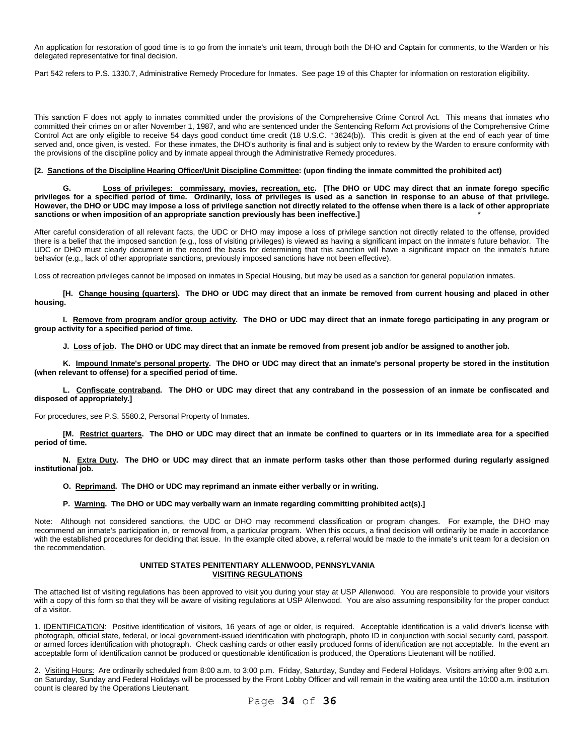An application for restoration of good time is to go from the inmate's unit team, through both the DHO and Captain for comments, to the Warden or his delegated representative for final decision.

Part 542 refers to P.S. 1330.7, Administrative Remedy Procedure for Inmates. See page 19 of this Chapter for information on restoration eligibility.

This sanction F does not apply to inmates committed under the provisions of the Comprehensive Crime Control Act. This means that inmates who committed their crimes on or after November 1, 1987, and who are sentenced under the Sentencing Reform Act provisions of the Comprehensive Crime Control Act are only eligible to receive 54 days good conduct time credit (18 U.S.C. '3624(b)). This credit is given at the end of each year of time served and, once given, is vested. For these inmates, the DHO's authority is final and is subject only to review by the Warden to ensure conformity with the provisions of the discipline policy and by inmate appeal through the Administrative Remedy procedures.

# **[2. Sanctions of the Discipline Hearing Officer/Unit Discipline Committee: (upon finding the inmate committed the prohibited act)**

**G. Loss of privileges: commissary, movies, recreation, etc. [The DHO or UDC may direct that an inmate forego specific privileges for a specified period of time. Ordinarily, loss of privileges is used as a sanction in response to an abuse of that privilege. However, the DHO or UDC may impose a loss of privilege sanction not directly related to the offense when there is a lack of other appropriate sanctions or when imposition of an appropriate sanction previously has been ineffective.]** \*

After careful consideration of all relevant facts, the UDC or DHO may impose a loss of privilege sanction not directly related to the offense, provided there is a belief that the imposed sanction (e.g., loss of visiting privileges) is viewed as having a significant impact on the inmate's future behavior. The UDC or DHO must clearly document in the record the basis for determining that this sanction will have a significant impact on the inmate's future behavior (e.g., lack of other appropriate sanctions, previously imposed sanctions have not been effective).

Loss of recreation privileges cannot be imposed on inmates in Special Housing, but may be used as a sanction for general population inmates.

**[H. Change housing (quarters). The DHO or UDC may direct that an inmate be removed from current housing and placed in other housing.**

**I. Remove from program and/or group activity. The DHO or UDC may direct that an inmate forego participating in any program or group activity for a specified period of time.**

**J. Loss of job. The DHO or UDC may direct that an inmate be removed from present job and/or be assigned to another job.**

**K. Impound Inmate's personal property. The DHO or UDC may direct that an inmate's personal property be stored in the institution (when relevant to offense) for a specified period of time.**

**L. Confiscate contraband. The DHO or UDC may direct that any contraband in the possession of an inmate be confiscated and disposed of appropriately.]**

For procedures, see P.S. 5580.2, Personal Property of Inmates.

**[M. Restrict quarters. The DHO or UDC may direct that an inmate be confined to quarters or in its immediate area for a specified period of time.**

**N. Extra Duty. The DHO or UDC may direct that an inmate perform tasks other than those performed during regularly assigned institutional job.**

**O. Reprimand. The DHO or UDC may reprimand an inmate either verbally or in writing.**

# **P. Warning. The DHO or UDC may verbally warn an inmate regarding committing prohibited act(s).]**

Note: Although not considered sanctions, the UDC or DHO may recommend classification or program changes. For example, the DHO may recommend an inmate's participation in, or removal from, a particular program. When this occurs, a final decision will ordinarily be made in accordance with the established procedures for deciding that issue. In the example cited above, a referral would be made to the inmate's unit team for a decision on the recommendation.

# **UNITED STATES PENITENTIARY ALLENWOOD, PENNSYLVANIA VISITING REGULATIONS**

The attached list of visiting regulations has been approved to visit you during your stay at USP Allenwood. You are responsible to provide your visitors with a copy of this form so that they will be aware of visiting regulations at USP Allenwood. You are also assuming responsibility for the proper conduct of a visitor.

1. IDENTIFICATION: Positive identification of visitors, 16 years of age or older, is required. Acceptable identification is a valid driver's license with photograph, official state, federal, or local government-issued identification with photograph, photo ID in conjunction with social security card, passport, or armed forces identification with photograph. Check cashing cards or other easily produced forms of identification are not acceptable. In the event an acceptable form of identification cannot be produced or questionable identification is produced, the Operations Lieutenant will be notified.

2.Visiting Hours: Are ordinarily scheduled from 8:00 a.m. to 3:00 p.m. Friday, Saturday, Sunday and Federal Holidays. Visitors arriving after 9:00 a.m. on Saturday, Sunday and Federal Holidays will be processed by the Front Lobby Officer and will remain in the waiting area until the 10:00 a.m. institution count is cleared by the Operations Lieutenant.

Page **34** of **36**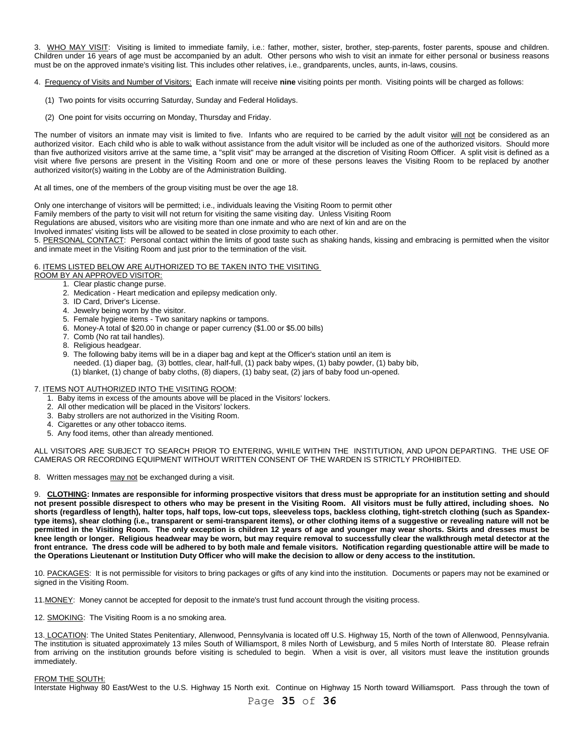3. WHO MAY VISIT: Visiting is limited to immediate family, i.e.: father, mother, sister, brother, step-parents, foster parents, spouse and children. Children under 16 years of age must be accompanied by an adult. Other persons who wish to visit an inmate for either personal or business reasons must be on the approved inmate's visiting list. This includes other relatives, i.e., grandparents, uncles, aunts, in-laws, cousins.

4. Frequency of Visits and Number of Visitors: Each inmate will receive **nine** visiting points per month. Visiting points will be charged as follows:

- (1) Two points for visits occurring Saturday, Sunday and Federal Holidays.
- (2) One point for visits occurring on Monday, Thursday and Friday.

The number of visitors an inmate may visit is limited to five. Infants who are required to be carried by the adult visitor will not be considered as an authorized visitor. Each child who is able to walk without assistance from the adult visitor will be included as one of the authorized visitors. Should more than five authorized visitors arrive at the same time, a "split visit" may be arranged at the discretion of Visiting Room Officer. A split visit is defined as a visit where five persons are present in the Visiting Room and one or more of these persons leaves the Visiting Room to be replaced by another authorized visitor(s) waiting in the Lobby are of the Administration Building.

At all times, one of the members of the group visiting must be over the age 18.

Only one interchange of visitors will be permitted; i.e., individuals leaving the Visiting Room to permit other

Family members of the party to visit will not return for visiting the same visiting day. Unless Visiting Room

Regulations are abused, visitors who are visiting more than one inmate and who are next of kin and are on the

Involved inmates' visiting lists will be allowed to be seated in close proximity to each other.

5. PERSONAL CONTACT: Personal contact within the limits of good taste such as shaking hands, kissing and embracing is permitted when the visitor and inmate meet in the Visiting Room and just prior to the termination of the visit.

# 6. ITEMS LISTED BELOW ARE AUTHORIZED TO BE TAKEN INTO THE VISITING

ROOM BY AN APPROVED VISITOR:

- 1. Clear plastic change purse.
- 2. Medication Heart medication and epilepsy medication only.
- 3. ID Card, Driver's License.
- 4. Jewelry being worn by the visitor.
- 5. Female hygiene items Two sanitary napkins or tampons.
- 6. Money-A total of \$20.00 in change or paper currency (\$1.00 or \$5.00 bills)
- 7. Comb (No rat tail handles).
- 8. Religious headgear.

 9. The following baby items will be in a diaper bag and kept at the Officer's station until an item is needed. (1) diaper bag, (3) bottles, clear, half-full, (1) pack baby wipes, (1) baby powder, (1) baby bib,

(1) blanket, (1) change of baby cloths, (8) diapers, (1) baby seat, (2) jars of baby food un-opened.

# 7. ITEMS NOT AUTHORIZED INTO THE VISITING ROOM:

- 1. Baby items in excess of the amounts above will be placed in the Visitors' lockers.
- 2. All other medication will be placed in the Visitors' lockers.
- 3. Baby strollers are not authorized in the Visiting Room.
- 4. Cigarettes or any other tobacco items.
- 5. Any food items, other than already mentioned.

ALL VISITORS ARE SUBJECT TO SEARCH PRIOR TO ENTERING, WHILE WITHIN THE INSTITUTION, AND UPON DEPARTING. THE USE OF CAMERAS OR RECORDING EQUIPMENT WITHOUT WRITTEN CONSENT OF THE WARDEN IS STRICTLY PROHIBITED.

8. Written messages may not be exchanged during a visit.

9. **CLOTHING: Inmates are responsible for informing prospective visitors that dress must be appropriate for an institution setting and should not present possible disrespect to others who may be present in the Visiting Room. All visitors must be fully attired, including shoes. No shorts (regardless of length), halter tops, half tops, low-cut tops, sleeveless tops, backless clothing, tight-stretch clothing (such as Spandextype items), shear clothing (i.e., transparent or semi-transparent items), or other clothing items of a suggestive or revealing nature will not be permitted in the Visiting Room. The only exception is children 12 years of age and younger may wear shorts. Skirts and dresses must be knee length or longer. Religious headwear may be worn, but may require removal to successfully clear the walkthrough metal detector at the front entrance. The dress code will be adhered to by both male and female visitors. Notification regarding questionable attire will be made to the Operations Lieutenant or Institution Duty Officer who will make the decision to allow or deny access to the institution.**

10. PACKAGES: It is not permissible for visitors to bring packages or gifts of any kind into the institution. Documents or papers may not be examined or signed in the Visiting Room.

11.MONEY: Money cannot be accepted for deposit to the inmate's trust fund account through the visiting process.

12. SMOKING: The Visiting Room is a no smoking area.

13. LOCATION: The United States Penitentiary, Allenwood, Pennsylvania is located off U.S. Highway 15, North of the town of Allenwood, Pennsylvania. The institution is situated approximately 13 miles South of Williamsport, 8 miles North of Lewisburg, and 5 miles North of Interstate 80. Please refrain from arriving on the institution grounds before visiting is scheduled to begin. When a visit is over, all visitors must leave the institution grounds immediately.

#### FROM THE SOUTH:

Interstate Highway 80 East/West to the U.S. Highway 15 North exit. Continue on Highway 15 North toward Williamsport. Pass through the town of

Page **35** of **36**